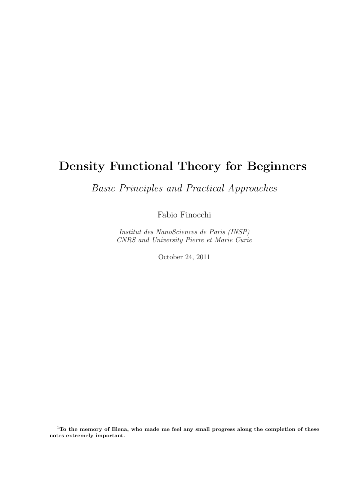## Density Functional Theory for Beginners

Basic Principles and Practical Approaches

Fabio Finocchi

Institut des NanoSciences de Paris (INSP) CNRS and University Pierre et Marie Curie

October 24, 2011

 $1$ <sup>1</sup>To the memory of Elena, who made me feel any small progress along the completion of these notes extremely important.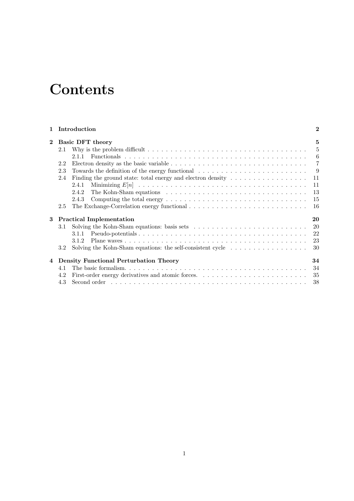# **Contents**

| $\mathbf{1}$ | Introduction                                                                                                        | $\overline{2}$ |
|--------------|---------------------------------------------------------------------------------------------------------------------|----------------|
| $\mathbf{2}$ | <b>Basic DFT</b> theory                                                                                             | 5              |
|              | 2.1                                                                                                                 | 5              |
|              |                                                                                                                     | 6              |
|              | 2.2                                                                                                                 | $\overline{7}$ |
|              | Towards the definition of the energy functional $\ldots \ldots \ldots \ldots \ldots \ldots \ldots \ldots$<br>2.3    | - 9            |
|              | Finding the ground state: total energy and electron density $\dots \dots \dots \dots \dots \dots$<br>2.4            | 11             |
|              | 2.4.1                                                                                                               | 11             |
|              | 2.4.2                                                                                                               | 13             |
|              | Computing the total energy $\dots \dots \dots \dots \dots \dots \dots \dots \dots \dots \dots \dots \dots$<br>2.4.3 | 15             |
|              | 2.5                                                                                                                 | 16             |
| 3            | <b>Practical Implementation</b>                                                                                     | 20             |
|              | 3.1                                                                                                                 |                |
|              | 3.1.1                                                                                                               | 22             |
|              | 3.1.2                                                                                                               | 23             |
|              | Solving the Kohn-Sham equations: the self-consistent cycle $\dots \dots \dots \dots \dots \dots$<br>3.2             | 30             |
| 4            | <b>Density Functional Perturbation Theory</b>                                                                       | 34             |
|              | 4.1                                                                                                                 | -34            |
|              | 4.2                                                                                                                 | -35            |
|              | 4.3                                                                                                                 | 38             |
|              |                                                                                                                     |                |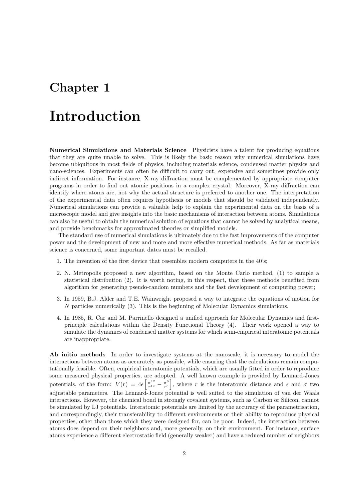## Chapter 1

# Introduction

Numerical Simulations and Materials Science Physicists have a talent for producing equations that they are quite unable to solve. This is likely the basic reason why numerical simulations have become ubiquitous in most fields of physics, including materials science, condensed matter physics and nano-sciences. Experiments can often be difficult to carry out, expensive and sometimes provide only indirect information. For instance, X-ray diffraction must be complemented by appropriate computer programs in order to find out atomic positions in a complex crystal. Moreover, X-ray diffraction can identify where atoms are, not why the actual structure is preferred to another one. The interpretation of the experimental data often requires hypothesis or models that should be validated independently. Numerical simulations can provide a valuable help to explain the experimental data on the basis of a microscopic model and give insights into the basic mechanisms of interaction between atoms. Simulations can also be useful to obtain the numerical solution of equations that cannot be solved by analytical means, and provide benchmarks for approximated theories or simplified models.

The standard use of numerical simulations is ultimately due to the fast improvements of the computer power and the development of new and more and more effective numerical methods. As far as materials science is concerned, some important dates must be recalled.

- 1. The invention of the first device that resembles modern computers in the 40's;
- 2. N. Metropolis proposed a new algorithm, based on the Monte Carlo method, (1) to sample a statistical distribution (2). It is worth noting, in this respect, that these methods benefited from algorithm for generating pseudo-random numbers and the fast development of computing power;
- 3. In 1959, B.J. Alder and T.E. Wainwright proposed a way to integrate the equations of motion for N particles numerically (3). This is the beginning of Molecular Dynamics simulations.
- 4. In 1985, R. Car and M. Parrinello designed a unified approach for Molecular Dynamics and firstprinciple calculations within the Density Functional Theory (4). Their work opened a way to simulate the dynamics of condensed matter systems for which semi-empirical interatomic potentials are inappropriate.

Ab initio methods In order to investigate systems at the nanoscale, it is necessary to model the interactions between atoms as accurately as possible, while ensuring that the calculations remain computationally feasible. Often, empirical interatomic potentials, which are usually fitted in order to reproduce some measured physical properties, are adopted. A well known example is provided by Lennard-Jones potentials, of the form:  $V(r) = 4\epsilon \left[\frac{\sigma^{12}}{r^{12}}\right]$  $\frac{\sigma^{12}}{r^{12}}-\frac{\sigma^6}{r^6}$  $\frac{\sigma^6}{r^6}$ , where r is the interatomic distance and  $\epsilon$  and  $\sigma$  two adjustable parameters. The Lennard-Jones potential is well suited to the simulation of van der Waals interactions. However, the chemical bond in strongly covalent systems, such as Carbon or Silicon, cannot be simulated by LJ potentials. Interatomic potentials are limited by the accuracy of the parametrisation, and correspondingly, their transferability to different environments or their ability to reproduce physical properties, other than those which they were designed for, can be poor. Indeed, the interaction between atoms does depend on their neighbors and, more generally, on their environment. For instance, surface atoms experience a different electrostatic field (generally weaker) and have a reduced number of neighbors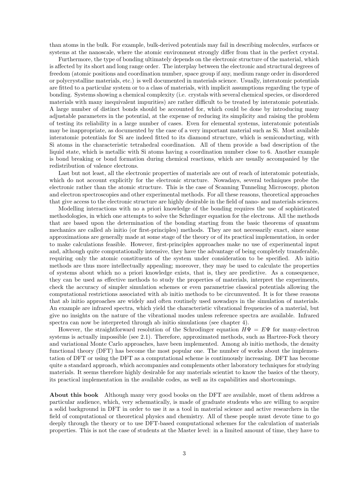than atoms in the bulk. For example, bulk-derived potentials may fail in describing molecules, surfaces or systems at the nanoscale, where the atomic environment strongly differ from that in the perfect crystal.

Furthermore, the type of bonding ultimately depends on the electronic structure of the material, which is affected by its short and long range order. The interplay between the electronic and structural degrees of freedom (atomic positions and coordination number, space group if any, medium range order in disordered or polycrystalline materials, etc.) is well documented in materials science. Usually, interatomic potentials are fitted to a particular system or to a class of materials, with implicit assumptions regarding the type of bonding. Systems showing a chemical complexity (i.e. crystals with several chemical species, or disordered materials with many inequivalent impurities) are rather difficult to be treated by interatomic potentials. A large number of distinct bonds should be accounted for, which could be done by introducing many adjustable parameters in the potential, at the expense of reducing its simplicity and raising the problem of testing its reliability in a large number of cases. Even for elemental systems, interatomic potentials may be inappropriate, as documented by the case of a very important material such as Si. Most available interatomic potentials for Si are indeed fitted to its diamond structure, which is semiconducting, with Si atoms in the characteristic tetrahedral coordination. All of them provide a bad description of the liquid state, which is metallic with Si atoms having a coordination number close to 6. Another example is bond breaking or bond formation during chemical reactions, which are usually accompanied by the redistribution of valence electrons.

Last but not least, all the electronic properties of materials are out of reach of interatomic potentials, which do not account explicitly for the electronic structure. Nowadays, several techniques probe the electronic rather than the atomic structure. This is the case of Scanning Tunneling Microscopy, photon and electron spectroscopies and other experimental methods. For all these reasons, theoretical approaches that give access to the electronic structure are highly desirable in the field of nano- and materials sciences.

Modelling interactions with no a priori knowledge of the bonding requires the use of sophisticated methodologies, in which one attempts to solve the Schrdinger equation for the electrons. All the methods that are based upon the determination of the bonding starting from the basic theorems of quantum mechanics are called ab initio (or first-principles) methods. They are not necessarily exact, since some approximations are generally made at some stage of the theory or of its practical implementation, in order to make calculations feasible. However, first-principles approaches make no use of experimental input and, although quite computationally intensive, they have the advantage of being completely transferable, requiring only the atomic constituents of the system under consideration to be specified. Ab initio methods are thus more intellectually appealing; moreover, they may be used to calculate the properties of systems about which no a priori knowledge exists, that is, they are predictive. As a consequence, they can be used as effective methods to study the properties of materials, interpret the experiments, check the accuracy of simpler simulation schemes or even parametrise classical potentials allowing the computational restrictions associated with ab initio methods to be circumvented. It is for these reasons that ab initio approaches are widely and often routinely used nowadays in the simulation of materials. An example are infrared spectra, which yield the characteristic vibrational frequencies of a material, but give no insights on the nature of the vibrational modes unless reference spectra are available. Infrared spectra can now be interpreted through ab initio simulations (see chapter 4).

However, the straightforward resolution of the Schrodinger equation  $H\Psi = E\Psi$  for many-electron systems is actually impossible (see 2.1). Therefore, approximated methods, such as Hartree-Fock theory and variational Monte Carlo approaches, have been implemented. Among ab initio methods, the density functional theory (DFT) has become the most popular one. The number of works about the implementation of DFT or using the DFT as a computational scheme is continuously increasing. DFT has become quite a standard approach, which accompanies and complements other laboratory techniques for studying materials. It seems therefore highly desirable for any materials scientist to know the basics of the theory, its practical implementation in the available codes, as well as its capabilities and shortcomings.

About this book Although many very good books on the DFT are available, most of them address a particular audience, which, very schematically, is made of graduate students who are willing to acquire a solid background in DFT in order to use it as a tool in material science and active researchers in the field of computational or theoretical physics and chemistry. All of these people must devote time to go deeply through the theory or to use DFT-based computational schemes for the calculation of materials properties. This is not the case of students at the Master level: in a limited amount of time, they have to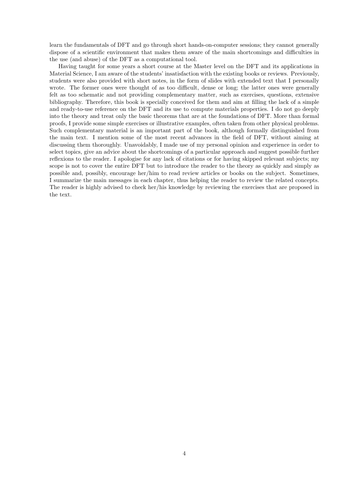learn the fundamentals of DFT and go through short hands-on-computer sessions; they cannot generally dispose of a scientific environment that makes them aware of the main shortcomings and difficulties in the use (and abuse) of the DFT as a computational tool.

Having taught for some years a short course at the Master level on the DFT and its applications in Material Science, I am aware of the students' insatisfaction with the existing books or reviews. Previously, students were also provided with short notes, in the form of slides with extended text that I personally wrote. The former ones were thought of as too difficult, dense or long; the latter ones were generally felt as too schematic and not providing complementary matter, such as exercises, questions, extensive bibliography. Therefore, this book is specially conceived for them and aim at filling the lack of a simple and ready-to-use reference on the DFT and its use to compute materials properties. I do not go deeply into the theory and treat only the basic theorems that are at the foundations of DFT. More than formal proofs, I provide some simple exercises or illustrative examples, often taken from other physical problems. Such complementary material is an important part of the book, although formally distinguished from the main text. I mention some of the most recent advances in the field of DFT, without aiming at discussing them thoroughly. Unavoidably, I made use of my personal opinion and experience in order to select topics, give an advice about the shortcomings of a particular approach and suggest possible further reflexions to the reader. I apologise for any lack of citations or for having skipped relevant subjects; my scope is not to cover the entire DFT but to introduce the reader to the theory as quickly and simply as possible and, possibly, encourage her/him to read review articles or books on the subject. Sometimes, I summarize the main messages in each chapter, thus helping the reader to review the related concepts. The reader is highly advised to check her/his knowledge by reviewing the exercises that are proposed in the text.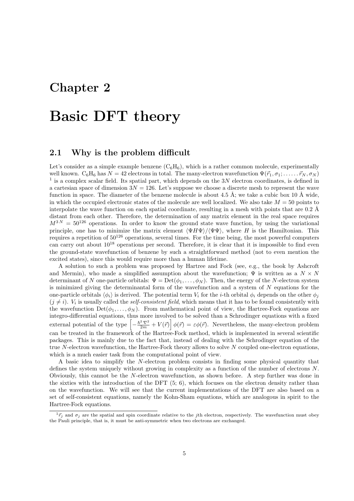## Chapter 2

## Basic DFT theory

### 2.1 Why is the problem difficult

Let's consider as a simple example benzene  $(C_6H_6)$ , which is a rather common molecule, experimentally well known.  $C_6H_6$  has  $N = 42$  electrons in total. The many-electron wavefunction  $\Psi(\vec{r}_1, \sigma_1; \ldots; \vec{r}_N, \sigma_N)$ <sup>1</sup> is a complex scalar field. Its spatial part, which depends on the  $3N$  electron coordinates, is defined in a cartesian space of dimension  $3N = 126$ . Let's suppose we choose a discrete mesh to represent the wave function in space. The diameter of the benzene molecule is about 4.5  $\AA$ ; we take a cubic box 10  $\AA$  wide, in which the occupied electronic states of the molecule are well localized. We also take  $M = 50$  points to interpolate the wave function on each spatial coordinate, resulting in a mesh with points that are  $0.2 \text{ Å}$ distant from each other. Therefore, the determination of any matrix element in the real space requires  $M^{3 N} = 50^{126}$  operations. In order to know the ground state wave function, by using the variational principle, one has to minimize the matrix element  $\langle \Psi H \Psi \rangle / \langle \Psi \Psi \rangle$ , where H is the Hamiltonian. This requires a repetition of  $50^{126}$  operations, several times. For the time being, the most powerful computers can carry out about  $10^{18}$  operations per second. Therefore, it is clear that it is impossible to find even the ground-state wavefunction of benzene by such a straightforward method (not to even mention the excited states), since this would require more than a human lifetime.

A solution to such a problem was proposed by Hartree and Fock (see, e.g., the book by Ashcroft and Mermin), who made a simplified assumption about the wavefunction;  $\Psi$  is written as a  $N \times N$ determinant of N one-particle orbitals:  $\Psi = \text{Det}(\phi_1, \ldots, \phi_N)$ . Then, the energy of the N-electron system is minimized giving the determinantal form of the wavefunction and a system of  $N$  equations for the one-particle orbitals  $\langle \phi_i \rangle$  is derived. The potential term  $V_i$  for the *i*-th orbital  $\phi_i$  depends on the other  $\phi_i$  $(j \neq i)$ .  $V_i$  is usually called the *self-consistent field*, which means that it has to be found consistently with the wavefunction  $Det(\phi_1, \ldots, \phi_N)$ . From mathematical point of view, the Hartree-Fock equations are integro-differential equations, thus more involved to be solved than a Schrodinger equations with a fixed external potential of the type  $\left[-\frac{\hbar^2 \nabla^2}{2m} + V(\vec{r})\right] \phi(\vec{r}) = \varepsilon \phi(\vec{r})$ . Nevertheless, the many-electron problem can be treated in the framework of the Hartree-Fock method, which is implemented in several scientific packages. This is mainly due to the fact that, instead of dealing with the Schrodinger equation of the true N-electron wavefunction, the Hartree-Fock theory allows to solve N coupled one-electron equations, which is a much easier task from the computational point of view.

A basic idea to simplify the N-electron problem consists in finding some physical quantity that defines the system uniquely without growing in complexity as a function of the number of electrons N. Obviously, this cannot be the N-electron wavefunction, as shown before. A step further was done in the sixties with the introduction of the DFT (5; 6), which focuses on the electron density rather than on the wavefunction. We will see that the current implementations of the DFT are also based on a set of self-consistent equations, namely the Kohn-Sham equations, which are analogous in spirit to the Hartree-Fock equations.

 ${}^{1}\vec{r}_j$  and  $\sigma_j$  are the spatial and spin coordinate relative to the jth electron, respectively. The wavefunction must obey the Pauli principle, that is, it must be anti-symmetric when two electrons are exchanged.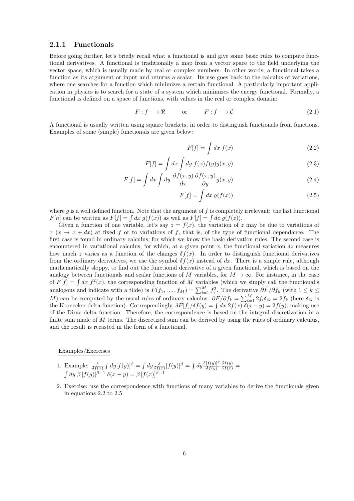#### 2.1.1 Functionals

Before going further, let's briefly recall what a functional is and give some basic rules to compute functional derivatives. A functional is traditionally a map from a vector space to the field underlying the vector space, which is usually made by real or complex numbers. In other words, a functional takes a function as its argument or input and returns a scalar. Its use goes back to the calculus of variations, where one searches for a function which minimizes a certain functional. A particularly important application in physics is to search for a state of a system which minimizes the energy functional. Formally, a functional is defined on a space of functions, with values in the real or complex domain:

$$
F: f \longrightarrow \Re \qquad \text{or} \qquad F: f \longrightarrow \mathcal{C} \tag{2.1}
$$

A functional is usually written using square brackets, in order to distinguish functionals from functions. Examples of some (simple) functionals are given below:

$$
F[f] = \int dx f(x) \tag{2.2}
$$

$$
F[f] = \int dx \int dy f(x)f(y)g(x,y)
$$
\n(2.3)

$$
F[f] = \int dx \int dy \, \frac{\partial f(x, y)}{\partial x} \frac{\partial f(x, y)}{\partial y} g(x, y) \tag{2.4}
$$

$$
F[f] = \int dx \ g(f(x)) \tag{2.5}
$$

where  $g$  is a well defined function. Note that the argument of  $f$  is completely irrelevant: the last functional  $F[n]$  can be written as  $F[f] = \int dx g(f(x))$  as well as  $F[f] = \int dz g(f(z))$ .

Given a function of one variable, let's say  $z = f(x)$ , the variation of z may be due to variations of  $x (x \rightarrow x + dx)$  at fixed f or to variations of f, that is, of the type of functional dependance. The first case is found in ordinary calculus, for which we know the basic derivation rules. The second case is encountered in variational calculus, for which, at a given point x, the functional variation  $\delta z$  measures how much z varies as a function of the changes  $\delta f(x)$ . In order to distinguish functional derivatives from the ordinary derivatives, we use the symbol  $\delta f(x)$  instead of dx. There is a simple rule, although mathematically sloppy, to find out the functional derivative of a given functional, which is based on the analogy between functionals and scalar functions of M variables, for  $M \to \infty$ . For instance, in the case of  $F[f] = \int dx f^2(x)$ , the corresponding function of M variables (which we simply call the functional's analogous and indicate with a tilde) is  $\tilde{F}(f_1,\ldots,f_M) = \sum_{i=1}^M f_i^2$ . The derivative  $\partial \tilde{F}/\partial f_k$  (with  $1 \leq k \leq$ M) can be computed by the usual rules of ordinary calculus:  $\partial \tilde{F}/\partial f_k = \sum_{i=1}^M 2f_i \delta_{ik} = 2f_k$  (here  $\delta_{ik}$  is the Kronecker delta function). Correspondingly,  $\delta F[f]/\delta f(y) = \int dx 2f(x) \delta(x - y) = 2f(y)$ , making use of the Dirac delta function. Therefore, the correspondence is based on the integral discretization in a finite sum made of M terms. The discretized sum can be derived by using the rules of ordinary calculus, and the result is recasted in the form of a functional.

Examples/Exercises

- 1. Example:  $\frac{\delta}{\delta f(x)} \int dy [f(y)]^{\beta} = \int dy \frac{\delta}{\delta f(x)} [f(y)]^{\beta} = \int dy \frac{\delta [f(y)]^{\beta}}{\delta f(y)}$  $\frac{\delta f(y)}{\delta f(x)} =$  $\int dy \; \beta \; [f(y)]^{\beta-1} \; \delta(x-y) = \beta \; [f(x)]^{\beta-1}$
- 2. Exercise: use the correspondence with functions of many variables to derive the functionals given in equations 2.2 to 2.5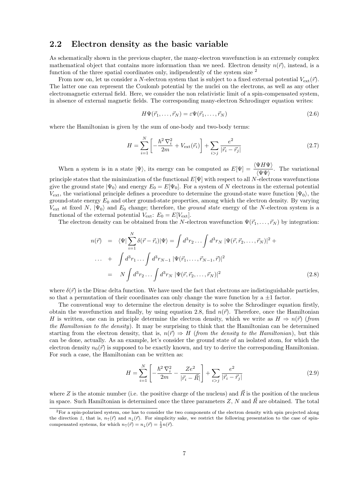## 2.2 Electron density as the basic variable

As schematically shown in the previous chapter, the many-electron wavefunction is an extremely complex mathematical object that contains more information than we need. Electron density  $n(\vec{r})$ , instead, is a function of the three spatial coordinates only, indipendently of the system size <sup>2</sup>

From now on, let us consider a N-electron system that is subject to a fixed external potential  $V_{\text{ext}}(\vec{r})$ . The latter one can represent the Coulomb potential by the nuclei on the electrons, as well as any other electromagnetic external field. Here, we consider the non relativistic limit of a spin-compensated system, in absence of external magnetic fields. The corresponding many-electron Schrodinger equation writes:

$$
H\Psi(\vec{r}_1,\ldots,\vec{r}_N)=\varepsilon\Psi(\vec{r}_1,\ldots,\vec{r}_N)
$$
\n(2.6)

where the Hamiltonian is given by the sum of one-body and two-body terms:

$$
H = \sum_{i=1}^{N} \left[ -\frac{\hbar^2 \nabla_i^2}{2m} + V_{\text{ext}}(\vec{r}_i) \right] + \sum_{i>j} \frac{e^2}{|\vec{r}_i - \vec{r}_j|}
$$
(2.7)

When a system is in a state  $|\Psi\rangle$ , its energy can be computed as  $E[\Psi] = \frac{\langle \Psi H \Psi \rangle}{\langle \Psi \Psi \rangle}$ . The variational principle states that the minimization of the functional  $E[\Psi]$  with respect to all N-electrons wavefunctions give the ground state  $|\Psi_0\rangle$  and energy  $E_0 = E[\Psi_0]$ . For a system of N electrons in the external potential  $V_{\text{ext}}$ , the variational principle defines a procedure to determine the ground-state wave function  $|\Psi_0\rangle$ , the ground-state energy  $E_0$  and other ground-state properties, among which the electron density. By varying  $V_{\text{ext}}$  at fixed N,  $|\Psi_0\rangle$  and  $E_0$  change; therefore, the *ground state* energy of the N-electron system is a functional of the external potential  $V_{\text{ext}}$ :  $E_0 = E[V_{\text{ext}}]$ .

The electron density can be obtained from the N-electron wavefunction  $\Psi(\vec{r}_1,\ldots,\vec{r}_N)$  by integration:

$$
n(\vec{r}) = \langle \Psi | \sum_{i=1}^{N} \delta(\vec{r} - \vec{r}_i) | \Psi \rangle = \int d^3 r_2 \dots \int d^3 r_N \, |\Psi(\vec{r}, \vec{r}_2, \dots, \vec{r}_N)|^2 + \dots + \int d^3 r_1 \dots \int d^3 r_{N-1} |\Psi(\vec{r}_1, \dots, \vec{r}_{N-1}, \vec{r})|^2
$$
  
=  $N \int d^3 r_2 \dots \int d^3 r_N |\Psi(\vec{r}, \vec{r}_2, \dots, \vec{r}_N)|^2$  (2.8)

where  $\delta(\vec{r})$  is the Dirac delta function. We have used the fact that electrons are indistinguishable particles, so that a permutation of their coordinates can only change the wave function by a  $\pm 1$  factor.

The conventional way to determine the electron density is to solve the Schrodinger equation firstly, obtain the wavefunction and finally, by using equation 2.8, find  $n(\vec{r})$ . Therefore, once the Hamiltonian H is written, one can in principle determine the electron density, which we write as  $H \Rightarrow n(\vec{r})$  (from the Hamiltonian to the density). It may be surprising to think that the Hamiltonian can be determined starting from the electron density, that is,  $n(\vec{r}) \Rightarrow H$  (from the density to the Hamiltonian), but this can be done, actually. As an example, let's consider the ground state of an isolated atom, for which the electron density  $n_0(\vec{r})$  is supposed to be exactly known, and try to derive the corresponding Hamiltonian. For such a case, the Hamiltonian can be written as:

$$
H = \sum_{i=1}^{N} \left[ -\frac{\hbar^2 \nabla_i^2}{2m} - \frac{Ze^2}{|\vec{r}_i - \vec{R}|} \right] + \sum_{i > j} \frac{e^2}{|\vec{r}_i - \vec{r}_j|}
$$
(2.9)

where Z is the atomic number (i.e. the positive charge of the nucleus) and  $\vec{R}$  is the position of the nucleus in space. Such Hamiltonian is determined once the three parameters Z, N and  $\vec{R}$  are obtained. The total

 ${}^{2}$  For a spin-polarized system, one has to consider the two components of the electron density with spin projected along the direction  $\hat{z}$ , that is,  $n_{\uparrow}(\vec{r})$  and  $n_{\downarrow}(\vec{r})$ . For simplicity sake, we restrict the following presentation to the case of spincompensated systems, for which  $n_{\uparrow}(\vec{r}) = n_{\downarrow}(\vec{r}) = \frac{1}{2}n(\vec{r}).$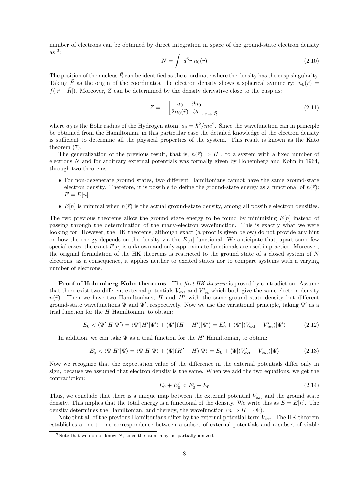number of electrons can be obtained by direct integration in space of the ground-state electron density  $\mathrm{as}~^3$ :

$$
N = \int d^3r \; n_0(\vec{r}) \tag{2.10}
$$

The position of the nucleus  $\vec{R}$  can be identified as the coordinate where the density has the cusp singularity. Taking  $\vec{R}$  as the origin of the coordinates, the electron density shows a spherical symmetry:  $n_0(\vec{r})$  $f(|\vec{r} - \vec{R}|)$ . Moreover, Z can be determined by the density derivative close to the cusp as:

$$
Z = -\left[\frac{a_0}{2n_0(\vec{r})} \frac{\partial n_0}{\partial r}\right]_{r \to |\vec{R}|} \tag{2.11}
$$

where  $a_0$  is the Bohr radius of the Hydrogen atom,  $a_0 = \hbar^2$  Since the wavefunction can in principle be obtained from the Hamiltonian, in this particular case the detailed knowledge of the electron density is sufficient to determine all the physical properties of the system. This result is known as the Kato theorem (7).

The generalization of the previous result, that is,  $n(\vec{r}) \Rightarrow H$ , to a system with a fixed number of electrons N and for arbitrary external potentials was formally given by Hohemberg and Kohn in 1964, through two theorems:

- For non-degenerate ground states, two different Hamiltonians cannot have the same ground-state electron density. Therefore, it is possible to define the ground-state energy as a functional of  $n(\vec{r})$ :  $E = E[n]$
- $E[n]$  is minimal when  $n(\vec{r})$  is the actual ground-state density, among all possible electron densities.

The two previous theorems allow the ground state energy to be found by minimizing  $E[n]$  instead of passing through the determination of the many-electron wavefunction. This is exactly what we were looking for! However, the HK theorems, although exact (a proof is given below) do not provide any hint on how the energy depends on the density via the  $E[n]$  functional. We anticipate that, apart some few special cases, the exact  $E[n]$  is unknown and only approximate functionals are used in practice. Moreover, the original formulation of the HK theorems is restricted to the ground state of a closed system of N electrons; as a consequence, it applies neither to excited states nor to compare systems with a varying number of electrons.

**Proof of Hohemberg-Kohn theorems** The first HK theorem is proved by contradiction. Assume that there exist two different external potentials  $V_{\text{ext}}$  and  $V'_{\text{ext}}$  which both give the same electron density  $n(\vec{r})$ . Then we have two Hamiltonians, H and H' with the same ground state density but different ground-state wavefunctions  $\Psi$  and  $\Psi'$ , respectively. Now we use the variational principle, taking  $\Psi'$  as a trial function for the  $H$  Hamiltonian, to obtain:

$$
E_0 < \langle \Psi' | H | \Psi' \rangle = \langle \Psi' | H' | \Psi' \rangle + \langle \Psi' | (H - H') | \Psi' \rangle = E'_0 + \langle \Psi' | (V_{\text{ext}} - V'_{\text{ext}}) | \Psi' \rangle \tag{2.12}
$$

In addition, we can take  $\Psi$  as a trial function for the  $H'$  Hamiltonian, to obtain:

$$
E_0' < \langle \Psi | H' | \Psi \rangle = \langle \Psi | H | \Psi \rangle + \langle \Psi | (H' - H) | \Psi \rangle = E_0 + \langle \Psi | (V_{\text{ext}}' - V_{\text{ext}}) | \Psi \rangle \tag{2.13}
$$

Now we recognize that the expectation value of the difference in the external potentials differ only in sign, because we assumed that electron density is the same. When we add the two equations, we get the contradiction:

$$
E_0 + E'_0 < E'_0 + E_0 \tag{2.14}
$$

Thus, we conclude that there is a unique map between the external potential  $V_{\text{ext}}$  and the ground state density. This implies that the total energy is a functional of the density. We write this as  $E = E[n]$ . The density determines the Hamiltonian, and thereby, the wavefunction  $(n \Rightarrow H \Rightarrow \Psi)$ .

Note that all of the previous Hamiltonians differ by the external potential term  $V_{\text{ext}}$ . The HK theorem establishes a one-to-one correspondence between a subset of external potentials and a subset of viable

 $3$ Note that we do not know N, since the atom may be partially ionized.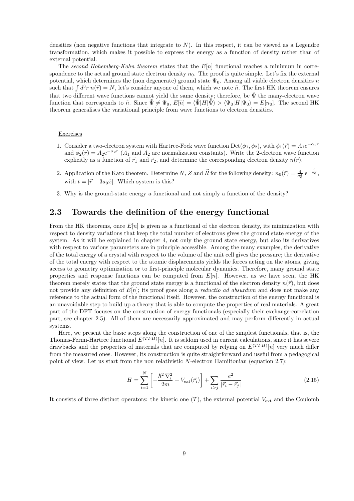densities (non negative functions that integrate to  $N$ ). In this respect, it can be viewed as a Legendre transformation, which makes it possible to express the energy as a function of density rather than of external potential.

The second Hohemberg-Kohn theorem states that the  $E[n]$  functional reaches a minimum in correspondence to the actual ground state electron density  $n_0$ . The proof is quite simple. Let's fix the external potential, which determines the (non degenerate) ground state  $\Psi_0$ . Among all viable electron densities n such that  $\int d^3r n(\vec{r}) = N$ , let's consider anyone of them, which we note  $\tilde{n}$ . The first HK theorem ensures that two different wave functions cannot yield the same density; therefore, be  $\tilde{\Psi}$  the many-electron wave function that corresponds to  $\tilde{n}$ . Since  $\tilde{\Psi} \neq \Psi_0$ ,  $E[\tilde{n}] = \langle \tilde{\Psi} |H|\tilde{\Psi}\rangle > \langle \Psi_0 |H|\Psi_0\rangle = E[n_0]$ . The second HK theorem generalises the variational principle from wave functions to electron densities.

#### Exercises

- 1. Consider a two-electron system with Hartree-Fock wave function  $Det(\phi_1, \phi_2)$ , with  $\phi_1(\vec{r}) = A_1 e^{-\alpha_1 r}$ and  $\phi_2(\vec{r}) = A_2 e^{-\alpha_2 r}$  ( $A_1$  and  $A_2$  are normalization constants). Write the 2-electron wave function explicitly as a function of  $\vec{r}_1$  and  $\vec{r}_2$ , and determine the corresponding electron density  $n(\vec{r})$ .
- 2. Application of the Kato theorem. Determine N, Z and  $\vec{R}$  for the following density:  $n_0(\vec{r}) = \frac{4}{a_0^3} e^{-\frac{t}{a_0}}$ , with  $t = |\vec{r} - 3a_0\hat{x}|$ . Which system is this?
- 3. Why is the ground-state energy a functional and not simply a function of the density?

## 2.3 Towards the definition of the energy functional

From the HK theorems, once  $E[n]$  is given as a functional of the electron density, its minimization with respect to density variations that keep the total number of electrons gives the ground state energy of the system. As it will be explained in chapter 4, not only the ground state energy, but also its derivatives with respect to various parameters are in principle accessible. Among the many examples, the derivative of the total energy of a crystal with respect to the volume of the unit cell gives the pressure; the derivative of the total energy with respect to the atomic displacements yields the forces acting on the atoms, giving access to geometry optimization or to first-principle molecular dynamics. Therefore, many ground state properties and response functions can be computed from  $E[n]$ . However, as we have seen, the HK theorem merely states that the ground state energy is a functional of the electron density  $n(\vec{r})$ , but does not provide any definition of  $E[n]$ ; its proof goes along a *reductio ad absurdum* and does not make any reference to the actual form of the functional itself. However, the construction of the energy functional is an unavoidable step to build up a theory that is able to compute the properties of real materials. A great part of the DFT focuses on the construction of energy functionals (especially their exchange-correlation part, see chapter 2.5). All of them are necessarily approximated and may perform differently in actual systems.

Here, we present the basic steps along the construction of one of the simplest functionals, that is, the Thomas-Fermi-Hartree functional  $E^{(TFH)}[n]$ . It is seldom used in current calculations, since it has severe drawbacks and the properties of materials that are computed by relying on  $E^{(TFH)}[n]$  very much differ from the measured ones. However, its construction is quite straightforward and useful from a pedagogical point of view. Let us start from the non relativistic  $N$ -electron Hamiltonian (equation 2.7):

$$
H = \sum_{i=1}^{N} \left[ -\frac{\hbar^2 \nabla_i^2}{2m} + V_{\text{ext}}(\vec{r}_i) \right] + \sum_{i > j} \frac{e^2}{|\vec{r}_i - \vec{r}_j|}
$$
(2.15)

It consists of three distinct operators: the kinetic one  $(T)$ , the external potential  $V_{\text{ext}}$  and the Coulomb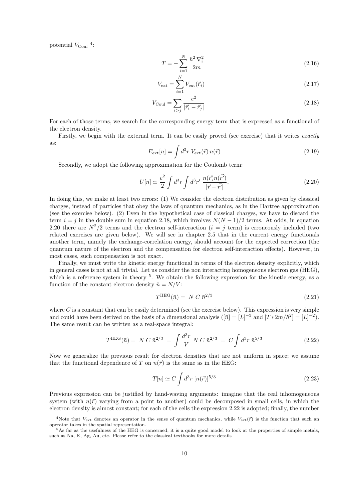potential  $V_{\text{Coul}}$ <sup>4</sup>:

$$
T = -\sum_{i=1}^{N} \frac{\hbar^2 \nabla_i^2}{2m}
$$
\n(2.16)

$$
V_{\text{ext}} = \sum_{i=1}^{N} V_{\text{ext}}(\vec{r_i})
$$
\n(2.17)

$$
V_{\text{Coul}} = \sum_{i>j} \frac{e^2}{|\vec{r_i} - \vec{r}_j|} \tag{2.18}
$$

For each of those terms, we search for the corresponding energy term that is expressed as a functional of the electron density.

Firstly, we begin with the external term. It can be easily proved (see exercise) that it writes exactly as:

$$
E_{\text{ext}}[n] = \int d^3r \ V_{\text{ext}}(\vec{r}) \ n(\vec{r}) \tag{2.19}
$$

Secondly, we adopt the following approximation for the Coulomb term:

$$
U[n] \simeq \frac{e^2}{2} \int d^3r \int d^3r' \, \frac{n(\vec{r})n(\vec{r'})}{|\vec{r} - \vec{r'}|}.\tag{2.20}
$$

In doing this, we make at least two errors: (1) We consider the electron distribution as given by classical charges, instead of particles that obey the laws of quantum mechanics, as in the Hartree approximation (see the exercise below). (2) Even in the hypothetical case of classical charges, we have to discard the term  $i = j$  in the double sum in equation 2.18, which involves  $N(N-1)/2$  terms. At odds, in equation 2.20 there are  $N^2/2$  terms and the electron self-interaction ( $i = j$  term) is erroneously included (two related exercises are given below). We will see in chapter 2.5 that in the current energy functionals another term, namely the exchange-correlation energy, should account for the expected correction (the quantum nature of the electron and the compensation for electron self-interaction effects). However, in most cases, such compensation is not exact.

Finally, we must write the kinetic energy functional in terms of the electron density explicitly, which in general cases is not at all trivial. Let us consider the non interacting homogeneous electron gas (HEG), which is a reference system in theory  $5$ . We obtain the following expression for the kinetic energy, as a function of the constant electron density  $\bar{n} = N/V$ :

$$
T^{\text{HEG}}(\bar{n}) = N C \,\bar{n}^{2/3} \tag{2.21}
$$

where  $C$  is a constant that can be easily determined (see the exercise below). This expression is very simple and could have been derived on the basis of a dimensional analysis  $(|\bar{n}| = |L|^{-3}$  and  $|T * 2m/\hbar^2| = |L|^{-2}$ . The same result can be written as a real-space integral:

$$
T^{\text{HEG}}(\bar{n}) = N C \,\bar{n}^{2/3} = \int \frac{d^3r}{V} \, N C \,\bar{n}^{2/3} = C \int d^3r \,\bar{n}^{5/3} \tag{2.22}
$$

Now we generalize the previous result for electron densities that are not uniform in space; we assume that the functional dependence of T on  $n(\vec{r})$  is the same as in the HEG:

$$
T[n] \simeq C \int d^3r \left[ n(\vec{r}) \right]^{5/3} \tag{2.23}
$$

Previous expression can be justified by hand-waving arguments: imagine that the real inhomogeneous system (with  $n(\vec{r})$  varying from a point to another) could be decomposed in small cells, in which the electron density is almost constant; for each of the cells the expression 2.22 is adopted; finally, the number

<sup>&</sup>lt;sup>4</sup>Note that V<sub>ext</sub> denotes an operator in the sense of quantum mechanics, while V<sub>ext</sub>( $\vec{r}$ ) is the function that such an operator takes in the spatial representation.

<sup>5</sup>As far as the usefulness of the HEG is concerned, it is a quite good model to look at the properties of simple metals, such as Na, K, Ag, Au, etc. Please refer to the classical textbooks for more details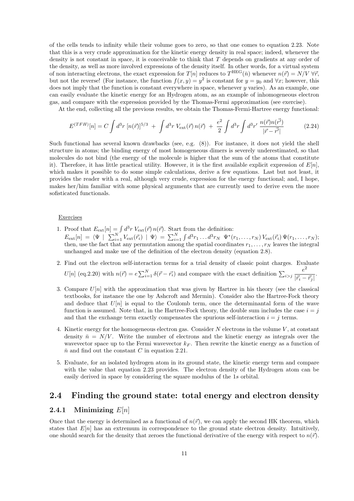of the cells tends to infinity while their volume goes to zero, so that one comes to equation 2.23. Note that this is a very crude approximation for the kinetic energy density in real space; indeed, whenever the density is not constant in space, it is conceivable to think that T depends on gradients at any order of the density, as well as more involved expressions of the density itself. In other words, for a virtual system of non interacting electrons, the exact expression for  $T[n]$  reduces to  $T^{HEG}(\bar{n})$  whenever  $n(\vec{r}) = N/V \,\forall \vec{r}$ , but not the reverse! (For instance, the function  $f(x, y) = y^2$  is constant for  $y = y_0$  and  $\forall x$ ; however, this does not imply that the function is constant everywhere in space, whenever y varies). As an example, one can easily evaluate the kinetic energy for an Hydrogen atom, as an example of inhomogeneous electron gas, and compare with the expression provided by the Thomas-Fermi approximation (see exercise).

At the end, collecting all the previous results, we obtain the Thomas-Fermi-Hartree energy functional:

$$
E^{(TFH)}[n] = C \int d^3r \, [n(\vec{r})]^{5/3} + \int d^3r \, V_{\text{ext}}(\vec{r}) \, n(\vec{r}) + \frac{e^2}{2} \int d^3r \int d^3r' \, \frac{n(\vec{r})n(\vec{r'})}{|\vec{r} - \vec{r'}|} \tag{2.24}
$$

Such functional has several known drawbacks (see, e.g. (8)). For instance, it does not yield the shell structure in atoms; the binding energy of most homogeneous dimers is severely underestimated, so that molecules do not bind (the energy of the molecule is higher that the sum of the atoms that constitute it). Therefore, it has little practical utility. However, it is the first available explicit expression of  $E[n]$ , which makes it possible to do some simple calculations, derive a few equations. Last but not least, it provides the reader with a real, although very crude, expression for the energy functional; and, I hope, makes her/him familiar with some physical arguments that are currently used to derive even the more sofisticated functionals.

#### Exercises

- 1. Proof that  $E_{ext}[n] = \int d^3r \; V_{ext}(\vec{r}) n(\vec{r})$ . Start from the definition:  $E_{\rm ext}[n] \;=\; \langle \Psi \; \; | \; \; \sum_{i=1}^N V_{\rm ext}(\vec{r}_i) \; \; | \; \; \Psi \rangle \; = \; \sum_{i=1}^N \int d^3r_1 \ldots d^3r_N \; \; \Psi^*(r_1,\ldots,r_N) \, V_{\rm ext}(\vec{r}_i) \, \Psi(r_1,\ldots,r_N);$ then, use the fact that any permutation among the spatial coordinates  $r_1, \ldots, r_N$  leaves the integral unchanged and make use of the definition of the electron density (equation 2.8).
- 2. Find out the electron self-interaction terms for a trial density of classic point charges. Evaluate  $U[n]$  (eq.2.20) with  $n(\vec{r}) = e \sum_{i=1}^{N} \delta(\vec{r} - \vec{r_i})$  and compare with the exact definition  $\sum_{i>j}$  $e^2$  $\frac{\sigma}{|\vec{r}_i - \vec{r}_j|}.$
- 3. Compare  $U[n]$  with the approximation that was given by Hartree in his theory (see the classical textbooks, for instance the one by Ashcroft and Mermin). Consider also the Hartree-Fock theory and deduce that  $U[n]$  is equal to the Coulomb term, once the determinantal form of the wave function is assumed. Note that, in the Hartree-Fock theory, the double sum includes the case  $i = j$ and that the exchange term exactly compensates the spurious self-interaction  $i = j$  terms.
- 4. Kinetic energy for the homogeneous electron gas. Consider  $N$  electrons in the volume  $V$ , at constant density  $\bar{n} = N/V$ . Write the number of electrons and the kinetic energy as integrals over the wavevector space up to the Fermi wavevector  $k_F$ . Then rewrite the kinetic energy as a function of  $\bar{n}$  and find out the constant C in equation 2.21.
- 5. Evaluate, for an isolated hydrogen atom in its ground state, the kinetic energy term and compare with the value that equation 2.23 provides. The electron density of the Hydrogen atom can be easily derived in space by considering the square modulus of the 1s orbital.

## 2.4 Finding the ground state: total energy and electron density

### 2.4.1 Minimizing  $E[n]$

Once that the energy is determined as a functional of  $n(\vec{r})$ , we can apply the second HK theorem, which states that  $E[n]$  has an extremum in correspondence to the ground state electron density. Intuitively, one should search for the density that zeroes the functional derivative of the energy with respect to  $n(\vec{r})$ .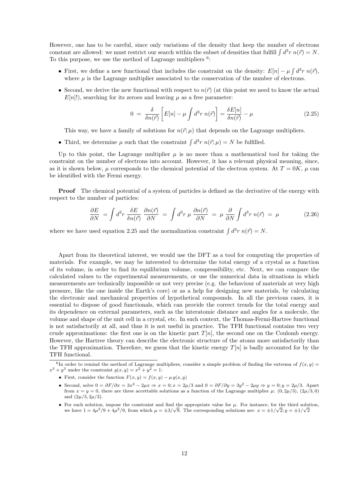However, one has to be careful, since only variations of the density that keep the number of electrons constant are allowed: we must restrict our search within the subset of densities that fulfill  $\int d^3r n(\vec{r}) = N$ . To this purpose, we use the method of Lagrange multipliers  $6$ :

- First, we define a new functional that includes the constraint on the density:  $E[n] \mu \int d^3r n(\vec{r})$ , where  $\mu$  is the Lagrange multiplier associated to the conservation of the number of electrons.
- Second, we derive the new functional with respect to  $n(\vec{r})$  (at this point we need to know the actual  $E[n]$ . searching for its zeroes and leaving  $\mu$  as a free parameter:

$$
0 = \frac{\delta}{\delta n(\vec{r})} \left[ E[n] - \mu \int d^3 r \; n(\vec{r}) \right] = \frac{\delta E[n]}{\delta n(\vec{r})} - \mu \tag{2.25}
$$

This way, we have a family of solutions for  $n(\vec{r}; \mu)$  that depends on the Lagrange multipliers.

• Third, we determine  $\mu$  such that the constraint  $\int d^3r \, n(\vec{r}; \mu) = N$  be fulfilled.

Up to this point, the Lagrange multiplier  $\mu$  is no more than a mathematical tool for taking the constraint on the number of electrons into account. However, it has a relevant physical meaning, since, as it is shown below,  $\mu$  corresponds to the chemical potential of the electron system. At  $T = 0K$ ,  $\mu$  can be identified with the Fermi energy.

**Proof** The chemical potential of a system of particles is defined as the derivative of the energy with respect to the number of particles:

$$
\frac{\partial E}{\partial N} = \int d^3r \, \frac{\delta E}{\delta n(\vec{r})} \, \frac{\partial n(\vec{r})}{\partial N} = \int d^3r \, \mu \, \frac{\partial n(\vec{r})}{\partial N} = \mu \, \frac{\partial}{\partial N} \int d^3r \, n(\vec{r}) = \mu \tag{2.26}
$$

where we have used equation 2.25 and the normalization constraint  $\int d^3r n(\vec{r}) = N$ .

Apart from its theoretical interest, we would use the DFT as a tool for computing the properties of materials. For example, we may be interested to determine the total energy of a crystal as a function of its volume, in order to find its equilibrium volume, compressibility, etc. Next, we can compare the calculated values to the experimental measurements, or use the numerical data in situations in which measurements are technically impossible or not very precise (e.g. the behaviour of materials at very high pressure, like the one inside the Earth's core) or as a help for designing new materials, by calculating the electronic and mechanical properties of hypothetical compounds. In all the previous cases, it is essential to dispose of good functionals, which can provide the correct trends for the total energy and its dependence on external parameters, such as the interatomic distance and angles for a molecule, the volume and shape of the unit cell in a crystal, etc. In such context, the Thomas-Fermi-Hartree functional is not satisfactorily at all, and thus it is not useful in practice. The TFH functional contains two very crude approximations: the first one is on the kinetic part  $T[n]$ , the second one on the Coulomb energy. However, the Hartree theory can describe the electronic structure of the atoms more satisfactorily than the TFH approximation. Therefore, we guess that the kinetic energy  $T[n]$  is badly accounted for by the TFH functional.

<sup>&</sup>lt;sup>6</sup>In order to remind the method of Lagrange multipliers, consider a simple problem of finding the extrema of  $f(x, y)$  $x^3 + y^3$  under the constraint  $g(x, y) = x^2 + y^2 = 1$ :

<sup>•</sup> First, consider the function  $F(x, y) = f(x, y) - \mu g(x, y)$ 

<sup>•</sup> Second, solve  $0 = \partial F/\partial x = 3x^2 - 2\mu x \Rightarrow x = 0; x = 2\mu/3$  and  $0 = \partial F/\partial y = 3y^2 - 2\mu y \Rightarrow y = 0; y = 2\mu/3$ . Apart from  $x = y = 0$ , there are three accettable solutions as a function of the Lagrange multiplier  $\mu$ :  $(0, 2\mu/3)$ ,  $(2\mu/3, 0)$ and  $(2\mu/3, 2\mu/3)$ .

<sup>•</sup> For each solution, impose the constraint and find the appropriate value for  $\mu$ . For instance, for the third solution, we have  $1 = 4\mu^2/9 + 4\mu^2/9$ , from which  $\mu = \pm 3/\sqrt{8}$ . The corresponding solutions are:  $x = \pm 1/\sqrt{2}$ ;  $y = \pm 1/\sqrt{2}$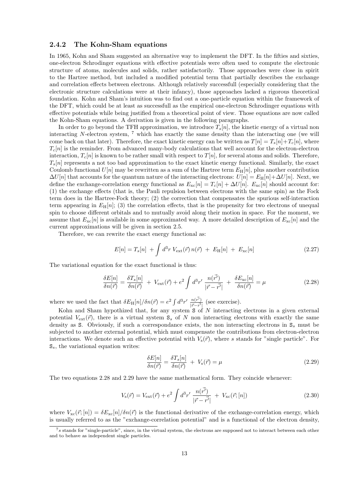#### 2.4.2 The Kohn-Sham equations

In 1965, Kohn and Sham suggested an alternative way to implement the DFT. In the fifties and sixties, one-electron Schrodinger equations with effective potentials were often used to compute the electronic structure of atoms, molecules and solids, rather satisfactorily. Those approaches were close in spirit to the Hartree method, but included a modified potential term that partially describes the exchange and correlation effects between electrons. Although relatively successfull (especially considering that the electronic structure calculations were at their infancy), those approaches lacked a rigorous theoretical foundation. Kohn and Sham's intuition was to find out a one-particle equation within the framework of the DFT, which could be at least as successfull as the empirical one-electron Schrodinger equations with effective potentials while being justified from a theoretical point of view. Those equations are now called the Kohn-Sham equations. A derivation is given in the following paragraphs.

In order to go beyond the TFH approximation, we introduce  $T_s[n]$ , the kinetic energy of a virtual non interacting N-electron system,  $\frac{7}{1}$  which has exactly the same density than the interacting one (we will come back on that later). Therefore, the exact kinetic energy can be written as  $T[n] = T_s[n] + T_c[n]$ , where  $T_c[n]$  is the reminder. From advanced many-body calculations that well account for the electron-electron interaction,  $T_c[n]$  is known to be rather small with respect to  $T[n]$ , for several atoms and solids. Therefore,  $T_s[n]$  represents a not too bad approximation to the exact kinetic energy functional. Similarly, the exact Coulomb functional  $U[n]$  may be rewritten as a sum of the Hartree term  $E_{\rm H}[n]$ , plus another contribution  $\Delta U[n]$  that accounts for the quantum nature of the interacting electrons:  $U[n] = E_H[n] + \Delta U[n]$ . Next, we define the exchange-correlation energy functional as  $E_{\rm xc}[n] = T_c[n] + \Delta U[n]$ .  $E_{\rm xc}[n]$  should account for: (1) the exchange effects (that is, the Pauli repulsion between electrons with the same spin) as the Fock term does in the Hartree-Fock theory; (2) the correction that compensates the spurious self-interaction term appearing in  $E_{\rm H}[n]$ ; (3) the correlation effects, that is the propensity for two electrons of unequal spin to choose different orbitals and to mutually avoid along their motion in space. For the moment, we assume that  $E_{\rm xc}[n]$  is available in some approximated way. A more detailed description of  $E_{\rm xc}[n]$  and the current approximations will be given in section 2.5.

Therefore, we can rewrite the exact energy functional as:

$$
E[n] = T_s[n] + \int d^3r \ V_{\text{ext}}(\vec{r}) n(\vec{r}) + E_H[n] + E_{\text{xc}}[n] \tag{2.27}
$$

The variational equation for the exact functional is thus:

$$
\frac{\delta E[n]}{\delta n(\vec{r})} = \frac{\delta T_s[n]}{\delta n(\vec{r})} + V_{\text{ext}}(\vec{r}) + e^2 \int d^3 r' \frac{n(\vec{r'})}{|\vec{r} - \vec{r'}|} + \frac{\delta E_{\text{xc}}[n]}{\delta n(\vec{r})} = \mu \tag{2.28}
$$

where we used the fact that  $\delta E_H[n]/\delta n(\vec{r}) = e^2 \int d^3r' \frac{n(\vec{r})}{|\vec{r}-\vec{r}|}$  $\frac{n(r')}{|\vec{r}-\vec{r'}|}$  (see exercise).

Kohn and Sham hypothized that, for any system S of N interacting electrons in a given external potential  $V_{ext}(\vec{r})$ , there is a virtual system  $S_s$  of N non interacting electrons with exactly the same density as S. Obviously, if such a correspondance exists, the non interacting electrons in  $S_s$  must be subjected to another external potential, which must compensate the contributions from electron-electron interactions. We denote such an effective potential with  $V_s(\vec{r})$ , where s stands for "single particle". For  $S_s$ , the variational equation writes:

$$
\frac{\delta E[n]}{\delta n(\vec{r})} = \frac{\delta T_s[n]}{\delta n(\vec{r})} + V_s(\vec{r}) = \mu \tag{2.29}
$$

The two equations 2.28 and 2.29 have the same mathematical form. They coincide whenever:

$$
V_{\rm s}(\vec{r}) = V_{\rm ext}(\vec{r}) + e^2 \int d^3r' \, \frac{n(\vec{r'})}{|\vec{r} - \vec{r'}|} + V_{\rm xc}(\vec{r};[n]) \tag{2.30}
$$

where  $V_{\text{xc}}(\vec{r};[n]) = \delta E_{\text{xc}}[n]/\delta n(\vec{r})$  is the functional derivative of the exchange-correlation energy, which is usually referred to as the "exchange-correlation potential" and is a functional of the electron density,

 $7s$  stands for "single-particle", since, in the virtual system, the electrons are supposed not to interact between each other and to behave as independent single particles.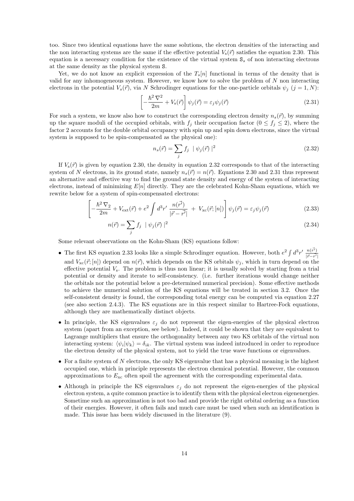too. Since two identical equations have the same solutions, the electron densities of the interacting and the non interacting systems are the same if the effective potential  $V_s(\vec{r})$  satisfies the equation 2.30. This equation is a necessary condition for the existence of the virtual system  $S_s$  of non interacting electrons at the same density as the physical system S.

Yet, we do not know an explicit expression of the  $T_s[n]$  functional in terms of the density that is valid for any inhomogeneous system. However, we know how to solve the problem of  $N$  non interacting electrons in the potential  $V_s(\vec{r})$ , via N Schrodinger equations for the one-particle orbitals  $\psi_i$   $(j = 1, N)$ :

$$
\left[-\frac{\hbar^2 \nabla^2}{2m} + V_s(\vec{r})\right] \psi_j(\vec{r}) = \varepsilon_j \psi_j(\vec{r})
$$
\n(2.31)

For such a system, we know also how to construct the corresponding electron density  $n_s(\vec{r})$ , by summing up the square moduli of the occupied orbitals, with  $f_j$  their occupation factor  $(0 \le f_j \le 2)$ , where the factor 2 accounts for the double orbital occupancy with spin up and spin down electrons, since the virtual system is supposed to be spin-compensated as the physical one):

$$
n_s(\vec{r}) = \sum_j f_j \, |\psi_j(\vec{r})|^2 \tag{2.32}
$$

If  $V_s(\vec{r})$  is given by equation 2.30, the density in equation 2.32 corresponds to that of the interacting system of N electrons, in its ground state, namely  $n_s(\vec{r}) = n(\vec{r})$ . Equations 2.30 and 2.31 thus represent an alternative and effective way to find the ground state density and energy of the system of interacting electrons, instead of minimizing  $E[n]$  directly. They are the celebrated Kohn-Sham equations, which we rewrite below for a system of spin-compensated electrons:

$$
\left[ -\frac{\hbar^2 \nabla_2}{2m} + V_{\text{ext}}(\vec{r}) + e^2 \int d^3 r' \frac{n(\vec{r'})}{|\vec{r} - \vec{r'}|} + V_{\text{xc}}(\vec{r};[n]) \right] \psi_j(\vec{r}) = \varepsilon_j \psi_j(\vec{r}) \tag{2.33}
$$

$$
n(\vec{r}) = \sum_{j} f_j \mid \psi_j(\vec{r}) \mid^2 \tag{2.34}
$$

Some relevant observations on the Kohn-Sham (KS) equations follow:

- The first KS equation 2.33 looks like a simple Schrodinger equation. However, both  $e^2 \int d^3r' \frac{n(\vec{r})}{|\vec{r}-\vec{s}|^2}$  $|\vec{r}-\vec{r'}|$ and  $V_{\text{xc}}(\vec{r};[n])$  depend on  $n(\vec{r})$ , which depends on the KS orbitals  $\psi_i$ , which in turn depend on the effective potential  $V_s$ . The problem is thus non linear; it is usually solved by starting from a trial potential or density and iterate to self-consistency. (i.e. further iterations would change neither the orbitals nor the potential below a pre-determined numerical precision). Some effective methods to achieve the numerical solution of the KS equations will be treated in section 3.2. Once the self-consistent density is found, the corresponding total energy can be computed via equation 2.27 (see also section 2.4.3). The KS equations are in this respect similar to Hartree-Fock equations, although they are mathematically distinct objects.
- In principle, the KS eigenvalues  $\varepsilon_j$  do not represent the eigen-energies of the physical electron system (apart from an exception, see below). Indeed, it could be shown that they are equivalent to Lagrange multipliers that ensure the orthogonality between any two KS orbitals of the virtual non interacting system:  $\langle \psi_i | \psi_k \rangle = \delta_{ik}$ . The virtual system was indeed introduced in order to reproduce the electron density of the physical system, not to yield the true wave functions or eigenvalues.
- For a finite system of  $N$  electrons, the only KS eigenvalue that has a physical meaning is the highest occupied one, which in principle represents the electron chemical potential. However, the common approximations to  $E_{\rm xc}$  often spoil the agreement with the corresponding experimental data.
- Although in principle the KS eigenvalues  $\varepsilon_j$  do not represent the eigen-energies of the physical electron system, a quite common practice is to identify them with the physical electron eigenenergies. Sometime such an approximation is not too bad and provide the right orbital ordering as a function of their energies. However, it often fails and much care must be used when such an identification is made. This issue has been widely discussed in the literature (9).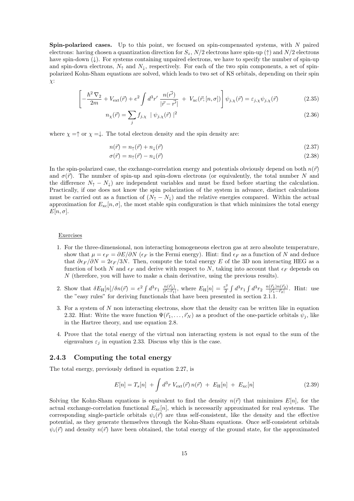Spin-polarized cases. Up to this point, we focused on spin-compensated systems, with  $N$  paired electrons: having chosen a quantization direction for  $S_z$ ,  $N/2$  electrons have spin-up ( $\uparrow$ ) and  $N/2$  electrons have spin-down  $(\downarrow)$ . For systems containing unpaired electrons, we have to specify the number of spin-up and spin-down electrons,  $N_{\uparrow}$  and  $N_{\downarrow}$ , respectively. For each of the two spin components, a set of spinpolarized Kohn-Sham equations are solved, which leads to two set of KS orbitals, depending on their spin χ:

$$
\left[ -\frac{\hbar^2 \nabla_2}{2m} + V_{\text{ext}}(\vec{r}) + e^2 \int d^3 r' \frac{n(\vec{r'})}{|\vec{r} - \vec{r'}|} + V_{\text{xc}}(\vec{r}; [n, \sigma]) \right] \psi_{j, \chi}(\vec{r}) = \varepsilon_{j, \chi} \psi_{j, \chi}(\vec{r}) \tag{2.35}
$$

$$
n_{\chi}(\vec{r}) = \sum_{j} f_{j,\chi} \, |\psi_{j,\chi}(\vec{r})|^2 \tag{2.36}
$$

where  $\chi = \uparrow$  or  $\chi = \downarrow$ . The total electron density and the spin density are:

$$
n(\vec{r}) = n_{\uparrow}(\vec{r}) + n_{\downarrow}(\vec{r}) \tag{2.37}
$$

$$
\sigma(\vec{r}) = n_{\uparrow}(\vec{r}) - n_{\downarrow}(\vec{r}) \tag{2.38}
$$

In the spin-polarized case, the exchange-correlation energy and potentials obviously depend on both  $n(\vec{r})$ and  $\sigma(\vec{r})$ . The number of spin-up and spin-down electrons (or equivalently, the total number N and the difference  $N_{\uparrow} - N_{\downarrow}$  are independent variables and must be fixed before starting the calculation. Practically, if one does not know the spin polarization of the system in advance, distinct calculations must be carried out as a function of  $(N<sub>†</sub> - N<sub>↓</sub>)$  and the relative energies compared. Within the actual approximation for  $E_{\rm xc}[n, \sigma]$ , the most stable spin configuration is that which minimizes the total energy  $E[n, \sigma]$ .

#### Exercises

- 1. For the three-dimensional, non interacting homogeneous electron gas at zero absolute temperature, show that  $\mu = \epsilon_F = \partial E/\partial N$  ( $\epsilon_F$  is the Fermi energy). Hint: find  $\epsilon_F$  as a function of N and deduce that  $\partial \epsilon_F / \partial N = 2\epsilon_F / 3N$ . Then, compute the total energy E of the 3D non interacting HEG as a function of both N and  $\epsilon_F$  and derive with respect to N, taking into account that  $\epsilon_F$  depends on N (therefore, you will have to make a chain derivative, using the previous results).
- 2. Show that  $\delta E_{\rm H}[n]/\delta n(\vec{r}) = e^2 \int d^3r_1 \frac{n(\vec{r}_1)}{|\vec{r}-\vec{r}_1|}$  $\frac{n(\vec{r}_1)}{|\vec{r}-\vec{r}_1|}$ , where  $E_{\rm H}[n] = \frac{e^2}{2}$  $\frac{e^2}{2} \int d^3r_1 \int d^3r_2 \; \frac{n(\vec{r_1}) n(\vec{r_2})}{|\vec{r_1}-\vec{r_2}|}$  $\frac{(r_1)n(r_2)}{|r_1^2-r_2|}$ . Hint: use the "easy rules" for deriving functionals that have been presented in section 2.1.1.
- 3. For a system of N non interacting electrons, show that the density can be written like in equation 2.32. Hint: Write the wave function  $\Psi(\vec{r}_1,\ldots,\vec{r}_N)$  as a product of the one-particle orbitals  $\psi_i$ , like in the Hartree theory, and use equation 2.8.
- 4. Prove that the total energy of the virtual non interacting system is not equal to the sum of the eigenvalues  $\varepsilon_i$  in equation 2.33. Discuss why this is the case.

#### 2.4.3 Computing the total energy

The total energy, previously defined in equation 2.27, is

$$
E[n] = T_s[n] + \int d^3r \, V_{\text{ext}}(\vec{r}) \, n(\vec{r}) + E_H[n] + E_{\text{xc}}[n] \tag{2.39}
$$

Solving the Kohn-Sham equations is equivalent to find the density  $n(\vec{r})$  that minimizes  $E[n]$ , for the actual exchange-correlation functional  $E_{\rm xc}[n]$ , which is necessarily approximated for real systems. The corresponding single-particle orbitals  $\psi_i(\vec{r})$  are thus self-consistent, like the density and the effective potential, as they generate themselves through the Kohn-Sham equations. Once self-consistent orbitals  $\psi_i(\vec{r})$  and density  $n(\vec{r})$  have been obtained, the total energy of the ground state, for the approximated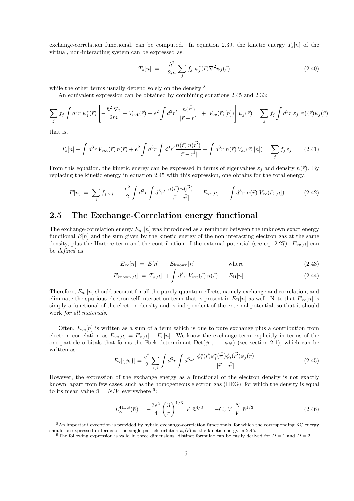exchange-correlation functional, can be computed. In equation 2.39, the kinetic energy  $T_s[n]$  of the virtual, non-interacting system can be expressed as:

$$
T_s[n] = -\frac{\hbar^2}{2m} \sum_j f_j \psi_j^* (\vec{r}) \nabla^2 \psi_j (\vec{r}) \tag{2.40}
$$

while the other terms usually depend solely on the density  $8$ 

An equivalent expression can be obtained by combining equations 2.45 and 2.33:

$$
\sum_{j} f_j \int d^3r \, \psi_j^*(\vec{r}) \left[ -\frac{\hbar^2 \, \nabla_2}{2m} + V_{\text{ext}}(\vec{r}) + e^2 \int d^3r' \, \frac{n(\vec{r'})}{|\vec{r} - \vec{r'}|} + V_{\text{xc}}(\vec{r};[n]) \right] \psi_j(\vec{r}) = \sum_{j} f_j \int d^3r \, \varepsilon_j \, \psi_j^*(\vec{r}) \psi_j(\vec{r})
$$

that is,

$$
T_s[n] + \int d^3r \, V_{\text{ext}}(\vec{r}) \, n(\vec{r}) + e^2 \int d^3r \int d^3r' \frac{n(\vec{r}) \, n(\vec{r'})}{|\vec{r} - \vec{r'}|} + \int d^3r \, n(\vec{r}) \, V_{\text{xc}}(\vec{r};[n]) = \sum_j f_j \, \varepsilon_j \tag{2.41}
$$

From this equation, the kinetic energy can be expressed in terms of eigenvalues  $\varepsilon_i$  and density  $n(\vec{r})$ . By replacing the kinetic energy in equation 2.45 with this expression, one obtains for the total energy:

$$
E[n] = \sum_{j} f_j \, \varepsilon_j \, - \, \frac{e^2}{2} \int d^3r \int d^3r' \, \frac{n(\vec{r}) \, n(\vec{r'})}{|\vec{r} - \vec{r'}|} \, + \, E_{\rm xc}[n] \, - \, \int d^3r \, n(\vec{r}) \, V_{\rm xc}(\vec{r};[n]) \tag{2.42}
$$

### 2.5 The Exchange-Correlation energy functional

The exchange-correlation energy  $E_{\text{xc}}[n]$  was introduced as a reminder between the unknown exact energy functional  $E[n]$  and the sum given by the kinetic energy of the non interacting electron gas at the same density, plus the Hartree term and the contribution of the external potential (see eq. 2.27).  $E_{\text{xc}}[n]$  can be defined as:

$$
E_{\rm xc}[n] = E[n] - E_{\rm known}[n] \qquad \qquad \text{where} \qquad (2.43)
$$

$$
E_{\text{known}}[n] = T_s[n] + \int d^3r \, V_{\text{ext}}(\vec{r}) \, n(\vec{r}) + E_H[n] \tag{2.44}
$$

Therefore,  $E_{\rm xc}[n]$  should account for all the purely quantum effects, namely exchange and correlation, and eliminate the spurious electron self-interaction term that is present in  $E_H[n]$  as well. Note that  $E_{\rm xc}[n]$  is simply a functional of the electron density and is independent of the external potential, so that it should work for all materials.

Often,  $E_{\rm xc}[n]$  is written as a sum of a term which is due to pure exchange plus a contribution from electron correlation as  $E_{\text{xc}}[n] = E_{\text{x}}[n] + E_{\text{c}}[n]$ . We know the exchange term explicitly in terms of the one-particle orbitals that forms the Fock determinant  $Det(\phi_1, \ldots, \phi_N)$  (see section 2.1), which can be written as:

$$
E_{\rm x}[\{\phi_i\}] = \frac{e^2}{2} \sum_{i,j} \int d^3r \int d^3r' \, \frac{\phi_i^{\star}(\vec{r}) \phi_j^{\star}(\vec{r'}) \phi_i(\vec{r'}) \phi_j(\vec{r})}{|\vec{r} - \vec{r'}|} \tag{2.45}
$$

However, the expression of the exchange energy as a functional of the electron density is not exactly known, apart from few cases, such as the homogeneous electron gas (HEG), for which the density is equal to its mean value  $\bar{n} = N/V$  everywhere <sup>9</sup>:

$$
E_{\rm x}^{\rm HEG}(\bar{n}) = -\frac{3e^2}{4} \left(\frac{3}{\pi}\right)^{1/3} V \,\bar{n}^{4/3} = -C_{\rm x} V \frac{N}{V} \,\bar{n}^{1/3} \tag{2.46}
$$

<sup>8</sup>An important exception is provided by hybrid exchange-correlation functionals, for which the corresponding XC energy should be expressed in terms of the single-particle orbitals  $\psi_i(\vec{r})$  as the kinetic energy in 2.45.

<sup>&</sup>lt;sup>9</sup>The following expression is valid in three dimensions; distinct formulae can be easily derived for  $D = 1$  and  $D = 2$ .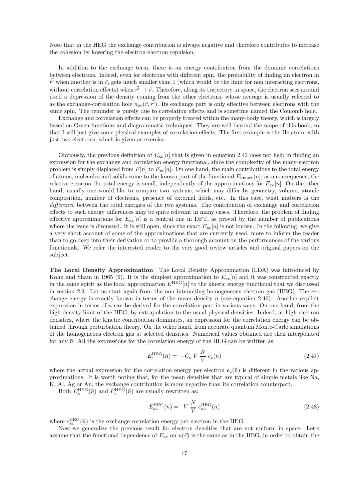Note that in the HEG the exchange contribution is always negative and therefore contributes to increase the cohesion by lowering the electron-electron repulsion.

In addition to the exchange term, there is an energy contribution from the dynamic correlations between electrons. Indeed, even for electrons with different spin, the probability of finding an electron in  $\vec{r}$  when another is in  $\vec{r}$ , gets much smaller than 1 (which would be the limit for non interacting electrons, without correlation effects) when  $\vec{r'} \rightarrow \vec{r}$ . Therefore, along its trajectory in space, the electron sees around itself a depression of the density coming from the other electrons, whose average is usually referred to as the exchange-correlation hole  $n_{\rm xc}(\vec{r}, \vec{r'})$ . Its exchange part is only effective between electrons with the same spin. The reminder is purely due to correlation effects and is sometime named the Coulomb hole.

Exchange and correlation effects can be properly treated within the many-body theory, which is largely based on Green functions and diagrammatic techniques. They are well beyond the scope of this book, so that I will just give some physical examples of correlation effects. The first example is the He atom, with just two electrons, which is given as exercise.

Obviously, the previous definition of  $E_{\rm xc}[n]$  that is given in equation 2.43 does not help in finding an expression for the exchange and correlation energy functional, since the complexity of the many-electron problem is simply displaced from  $E[n]$  to  $E_{\text{xc}}[n]$ . On one hand, the main contributions to the total energy of atoms, molecules and solids come to the known part of the functional  $E_{known}[n]$ ; as a consequence, the relative error on the total energy is small, independently of the approximations for  $E_{\rm xc}[n]$ . On the other hand, usually one would like to compare two systems, which may differ by geometry, volume, atomic composition, number of electrons, presence of external fields, etc. In this case, what matters is the difference between the total energies of the two systems. The contribution of exchange and correlation effects to such energy differences may be quite relevant in many cases. Therefore, the problem of finding effective approximations for  $E_{\text{xc}}[n]$  is a central one in DFT, as proved by the number of publications where the issue is discussed. It is still open, since the exact  $E_{\rm xc}[n]$  is not known. In the following, we give a very short account of some of the approximations that are currently used, more to inform the reader than to go deep into their derivation or to provide a thorough account on the performances of the various functionals. We refer the interested reader to the very good review articles and original papers on the subject.

The Local Density Approximation The Local Density Approximation (LDA) was introduced by Kohn and Sham in 1965 (6). It is the simplest approximation to  $E_{\rm xc}[n]$  and it was constructed exactly in the same spirit as the local approximation  $E^{\text{HEG}}[n]$  to the kinetic energy functional that we discussed in section 2.3. Let us start again from the non interacting homogeneous electron gas (HEG). The exchange energy is exactly known in terms of the mean density  $\bar{n}$  (see equation 2.46). Another explicit expression in terms of  $\bar{n}$  can be derived for the correlation part in various ways. On one hand, from the high-density limit of the HEG, by extrapolation to the usual physical densities. Indeed, at high electron densities, where the kinetic contribution dominates, an expression for the correlation energy can be obtained through perturbation theory. On the other hand, from accurate quantum Monte-Carlo simulations of the homogeneous electron gas at selected densities. Numerical values obtained are then interpolated for any  $\bar{n}$ . All the expressions for the correlation energy of the HEG can be written as:

$$
E_c^{\text{HEG}}(\bar{n}) = -C_c V \frac{N}{V} e_c(\bar{n})
$$
\n(2.47)

where the actual expression for the correlation energy per electron  $e_c(\bar{n})$  is different in the various approximations. It is worth noting that, for the mean densities that are typical of simple metals like Na, K, Al, Ag or Au, the exchange contribution is more negative than its correlation counterpart.

Both  $E_{\rm x}^{\rm HEG}(\bar{n})$  and  $E_{\rm c}^{\rm HEG}(\bar{n})$  are usually rewritten as:

$$
E_{\rm xc}^{\rm HEG}(\bar{n}) = V \frac{N}{V} e_{\rm xc}^{\rm HEG}(\bar{n})
$$
\n(2.48)

where  $e_{\text{xc}}^{\text{HEG}}(\bar{n})$  is the exchange-correlation energy per electron in the HEG.

Now we generalize the previous result for electron densities that are not uniform in space. Let's assume that the functional dependence of  $E_{\rm xc}$  on  $n(\vec{r})$  is the same as in the HEG, in order to obtain the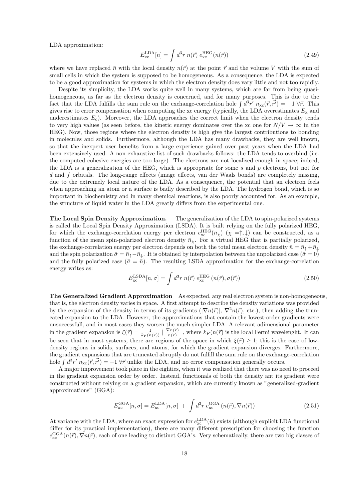LDA approximation:

$$
E_{\rm xc}^{\rm LDA}[n] = \int d^3r \; n(\vec{r}) \; e_{\rm xc}^{\rm HEG}(n(\vec{r})) \tag{2.49}
$$

where we have replaced  $\bar{n}$  with the local density  $n(\vec{r})$  at the point  $\vec{r}$  and the volume V with the sum of small cells in which the system is supposed to be homogeneous. As a consequence, the LDA is expected to be a good approximation for systems in which the electron density does vary little and not too rapidly.

Despite its simplicity, the LDA works quite well in many systems, which are far from being quasihomogeneous, as far as the electron density is concerned, and for many purposes. This is due to the fact that the LDA fulfills the sum rule on the exchange-correlation hole  $\int d^3r' n_{\rm xc}(\vec{r}, \vec{r'}) = -1 \ \forall \vec{r}$ . This gives rise to error compensation when computing the xc energy (typically, the LDA overestimates  $E_x$  and underestimates  $E_c$ ). Moreover, the LDA approaches the correct limit when the electron density tends to very high values (as seen before, the kinetic energy dominates over the xc one for  $N/V \to \infty$  in the HEG). Now, those regions where the electron density is high give the largest contributions to bonding in molecules and solids. Furthermore, although the LDA has many drawbacks, they are well known, so that the inexpert user benefits from a large experience gained over past years when the LDA had been extensively used. A non exhaustive list of such drawbacks follows: the LDA tends to overbind (i.e. the computed cohesive energies are too large). The electrons are not localised enough in space; indeed, the LDA is a generalization of the HEG, which is appropriate for some s and p electrons, but not for d and f orbitals. The long-range effects (image effects, van der Waals bonds) are completely missing, due to the extremely local nature of the LDA. As a consequence, the potential that an electron feels when approaching an atom or a surface is badly described by the LDA. The hydrogen bond, which is so important in biochemistry and in many chemical reactions, is also poorly accounted for. As an example, the structure of liquid water in the LDA greatly differs from the experimental one.

The Local Spin Density Approximation. The generalization of the LDA to spin-polarized systems is called the Local Spin Density Approximation (LSDA). It is built relying on the fully polarized HEG, for which the exchange-correlation energy per electron  $e_{\rm xc}^{\rm HEG}(\bar{n}_\chi)$  ( $\chi = \uparrow, \downarrow$ ) can be constructed, as a function of the mean spin-polarized electron density  $\bar{n}_{\chi}$ . For a virtual HEG that is partially polarized, the exchange-correlation energy per electron depends on both the total mean electron density  $\bar{n} = \bar{n}_{\uparrow} + \bar{n}_{\downarrow}$ and the spin polarization  $\bar{\sigma} = \bar{n}_{\uparrow} - \bar{n}_{\downarrow}$ . It is obtained by interpolation between the unpolarized case ( $\bar{\sigma} = 0$ ) and the fully polarized case  $(\bar{\sigma} = \bar{n})$ . The resulting LSDA approximation for the exchange-correlation energy writes as:

$$
E_{\rm xc}^{\rm LSDA}[n,\sigma] = \int d^3r \; n(\vec{r}) \; e_{\rm xc}^{\rm HEG} \left( n(\vec{r}), \sigma(\vec{r}) \right) \tag{2.50}
$$

The Generalized Gradient Approximation As expected, any real electron system is non-homogeneous, that is, the electron density varies in space. A first attempt to describe the density variations was provided by the expansion of the density in terms of its gradients ( $|\nabla n(\vec{r})|$ ,  $\nabla^2 n(\vec{r})$ , etc.), then adding the truncated expansion to the LDA. However, the approximations that contain the lowest-order gradients were unsuccessfull, and in most cases they worsen the much simpler LDA. A relevant adimensional parameter in the gradient expansion is  $\xi(\vec{r}) = \frac{1}{k_F(n(\vec{r}))} \mid \frac{\nabla n(\vec{r})}{n(\vec{r})}$  $\frac{\partial^{(n)}(r)}{n(\vec{r})}$ , where  $k_F(n(\vec{r})$  is the local Fermi wavelenght. It can be seen that in most systems, there are regions of the space in which  $\xi(\vec{r}) \geq 1$ ; this is the case of lowdensity regions in solids, surfaces, and atoms, for which the gradient expansion diverges. Furthermore, the gradient expansions that are truncated abruptly do not fulfill the sum rule on the exchange-correlation hole  $\int d^3r' n_{\rm xc}(\vec{r}, \vec{r'}) = -1 \ \forall \vec{r}$  unlike the LDA, and no error compensation generally occurs.

A major improvement took place in the eighties, when it was realized that there was no need to proceed in the gradient expansion order by order. Instead, functionals of both the density ant its gradient were constructed without relying on a gradient expansion, which are currently known as "generalized-gradient approximations" (GGA):

$$
E_{\rm xc}^{\rm GGA}[n,\sigma] = E_{\rm xc}^{\rm LDA}[n,\sigma] + \int d^3r \, e_{\rm xc}^{\rm GGA}(n(\vec{r}), \nabla n(\vec{r})) \tag{2.51}
$$

At variance with the LDA, where an exact expression for  $e_{\rm xc}^{\rm LDA}(\bar{n})$  exists (although explicit LDA functional differ for its practical implementation), there are many different prescription for choosing the function  $e_{\rm xc}^{\rm GGA}(n(\vec{r}), \nabla n(\vec{r})$ , each of one leading to distinct GGA's. Very schematically, there are two big classes of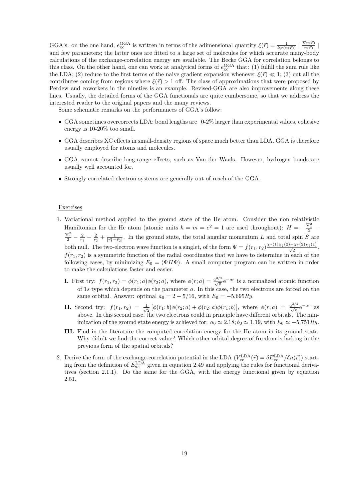GGA's: on the one hand,  $e_{\text{xc}}^{\text{GGA}}$  is written in terms of the adimensional quantity  $\xi(\vec{r}) = \frac{1}{k_F(n(\vec{r}))} |\frac{\nabla n(\vec{r})}{n(\vec{r})}$  $\frac{\sqrt{n(r)}}{n(\vec{r})}$ and few parameters; the latter ones are fitted to a large set of molecules for which accurate many-body calculations of the exchange-correlation energy are available. The Becke GGA for correlation belongs to this class. On the other hand, one can work at analytical forms of  $e_{\text{xc}}^{\text{GGA}}$  that: (1) fulfill the sum rule like the LDA; (2) reduce to the first terms of the naive gradient expansion whenever  $\xi(\vec{r}) \ll 1$ ; (3) cut all the contributes coming from regions where  $\xi(\vec{r}) > 1$  off. The class of approximations that were proposed by Perdew and coworkers in the nineties is an example. Revised-GGA are also improvements along these lines. Usually, the detailed forms of the GGA functionals are quite cumbersome, so that we address the interested reader to the original papers and the many reviews.

Some schematic remarks on the performances of GGA's follow:

- GGA sometimes overcorrects LDA: bond lengths are 0-2% larger than experimental values, cohesive energy is 10-20% too small.
- GGA describes XC effects in small-density regions of space much better than LDA. GGA is therefore usually employed for atoms and molecules.
- GGA cannot describe long-range effects, such as Van der Waals. However, hydrogen bonds are usually well accounted for.
- Strongly correlated electron systems are generally out of reach of the GGA.

#### Exercises

- 1. Variational method applied to the ground state of the He atom. Consider the non relativistic Hamiltonian for the He atom (atomic units  $\hbar = m = e^2 = 1$  are used throughout):  $H = -\frac{\nabla_1^2}{2} - \frac{2}{r_1} - \frac{2}{r_2} + \frac{1}{|\vec{r_1} - \vec{r_2}|}$ . In the ground state, the total angular momentum L and total spin S are both null. The two-electron wave function is a singlet, of the form  $\Psi = f(r_1, r_2) \frac{\chi_1(1)\chi_1(2) - \chi_1(2)\chi_1(1)}{\sqrt{2}}$ .  $f(r_1, r_2)$  is a symmetric function of the radial coordinates that we have to determine in each of the following cases, by minimizing  $E_0 = \langle \Psi H \Psi \rangle$ . A small computer program can be written in order to make the calculations faster and easier.
	- **I.** First try:  $f(r_1, r_2) = \phi(r_1; a)\phi(r_2; a)$ , where  $\phi(r; a) = \frac{a^{3/2}}{\sqrt{\pi}}e^{-ar}$  is a normalized atomic function of 1s type which depends on the parameter  $a$ . In this case, the two electrons are forced on the same orbital. Answer: optimal  $a_0 = 2 - 5/16$ , with  $E_0 = -5.695Ry$ .
	- **II.** Second try:  $f(r_1, r_2) = \frac{1}{\sqrt{2}}$  $\frac{1}{2} [\phi(r_1; b) \phi(r_2; a) + \phi(r_2; a) \phi(r_1; b)],$  where  $\phi(r; a) = \frac{a^{3/2}}{\sqrt{\pi}} e^{-ar}$  as above. In this second case, the two electrons could in principle have different orbitals. The minimization of the ground state energy is achieved for:  $a_0 \approx 2.18$ ;  $b_0 \approx 1.19$ , with  $E_0 \approx -5.751Ry$ .
	- III. Find in the literature the computed correlation energy for the He atom in its ground state. Why didn't we find the correct value? Which other orbital degree of freedom is lacking in the previous form of the spatial orbitals?
- 2. Derive the form of the exchange-correlation potential in the LDA  $(V_{\text{xc}}^{\text{LDA}}(\vec{r}) = \delta E_{\text{xc}}^{\text{LDA}}/\delta n(\vec{r}))$  starting from the definition of  $E_{\text{xc}}^{\text{LDA}}$  given in equation 2.49 and applying the rules for functional derivatives (section 2.1.1). Do the same for the GGA, with the energy functional given by equation 2.51.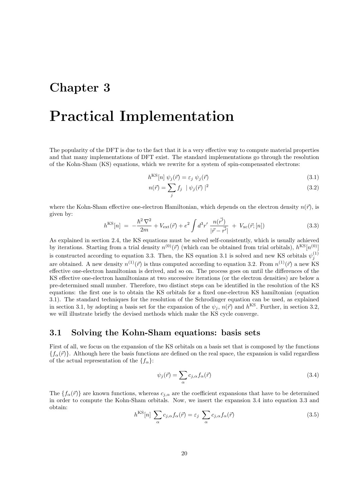## Chapter 3

## Practical Implementation

The popularity of the DFT is due to the fact that it is a very effective way to compute material properties and that many implementations of DFT exist. The standard implementations go through the resolution of the Kohn-Sham (KS) equations, which we rewrite for a system of spin-compensated electrons:

$$
h^{\text{KS}}[n] \psi_j(\vec{r}) = \varepsilon_j \psi_j(\vec{r}) \tag{3.1}
$$

$$
n(\vec{r}) = \sum_{j} f_j \mid \psi_j(\vec{r}) \mid^2 \tag{3.2}
$$

where the Kohn-Sham effective one-electron Hamiltonian, which depends on the electron density  $n(\vec{r})$ , is given by:

$$
h^{\text{KS}}[n] = -\frac{\hbar^2 \nabla^2}{2m} + V_{\text{ext}}(\vec{r}) + e^2 \int d^3 r' \frac{n(\vec{r'})}{|\vec{r} - \vec{r'}|} + V_{\text{xc}}(\vec{r};[n]) \tag{3.3}
$$

As explained in section 2.4, the KS equations must be solved self-consistently, which is usually achieved by iterations. Starting from a trial density  $n^{(0)}(\vec{r})$  (which can be obtained from trial orbitals),  $h^{\text{KS}}[n^{(0)}]$ is constructed according to equation 3.3. Then, the KS equation 3.1 is solved and new KS orbitals  $\psi_j^{(1)}$ are obtained. A new density  $n^{(1)}(\vec{r})$  is thus computed according to equation 3.2. From  $n^{(1)}(\vec{r})$  a new KS effective one-electron hamiltonian is derived, and so on. The process goes on until the differences of the KS effective one-electron hamiltonians at two successive iterations (or the electron densities) are below a pre-determined small number. Therefore, two distinct steps can be identified in the resolution of the KS equations: the first one is to obtain the KS orbitals for a fixed one-electron KS hamiltonian (equation 3.1). The standard techniques for the resolution of the Schrodinger equation can be used, as explained in section 3.1, by adopting a basis set for the expansion of the  $\psi_j$ ,  $n(\vec{r})$  and  $h^{KS}$ . Further, in section 3.2, we will illustrate briefly the devised methods which make the KS cycle converge.

## 3.1 Solving the Kohn-Sham equations: basis sets

First of all, we focus on the expansion of the KS orbitals on a basis set that is composed by the functions  ${f_{\alpha}(\vec{r})}$ . Although here the basis functions are defined on the real space, the expansion is valid regardless of the actual representation of the  $\{f_{\alpha}\}$ :

$$
\psi_j(\vec{r}) = \sum_{\alpha} c_{j,\alpha} f_{\alpha}(\vec{r}) \tag{3.4}
$$

The  $\{f_\alpha(\vec{r})\}$  are known functions, whereas  $c_{i,\alpha}$  are the coefficient expansions that have to be determined in order to compute the Kohn-Sham orbitals. Now, we insert the expansion 3.4 into equation 3.3 and obtain:

$$
h^{\text{KS}}[n] \sum_{\alpha} c_{j,\alpha} f_{\alpha}(\vec{r}) = \varepsilon_j \sum_{\alpha} c_{j,\alpha} f_{\alpha}(\vec{r}) \tag{3.5}
$$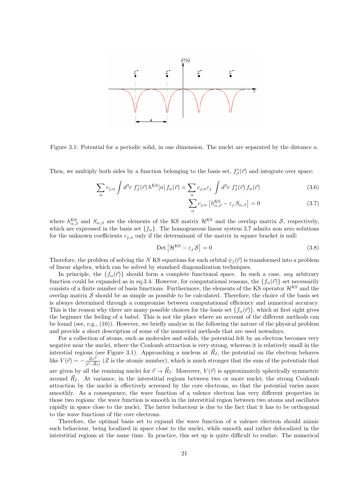

Figure 3.1: Potential for a periodic solid, in one dimension. The nuclei are separated by the distance a.

Then, we multiply both sides by a function belonging to the basis set,  $f^*_{\beta}(\vec{r})$  and integrate over space:

$$
\sum_{\alpha} c_{j,\alpha} \int d^3r \ f_{\beta}^*(\vec{r}) h^{\text{KS}}[n] f_{\alpha}(\vec{r}) = \sum_{\alpha} c_{j,\alpha} \varepsilon_j \ \int d^3r \ f_{\beta}^*(\vec{r}) f_{\alpha}(\vec{r}) \tag{3.6}
$$

$$
\sum_{\alpha} c_{j,\alpha} \left[ h_{\alpha,\beta}^{\text{KS}} - \varepsilon_j S_{\alpha,\beta} \right] = 0 \tag{3.7}
$$

where  $h_{\alpha,\beta}^{KS}$  and  $S_{\alpha,\beta}$  are the elements of the KS matrix  $\mathcal{H}^{KS}$  and the overlap matrix  $\mathcal{S}$ , respectively, which are expressed in the basis set  $\{f_{\alpha}\}\$ . The homogeneous linear system 3.7 admits non zero solutions for the unknown coefficients  $c_{j,\alpha}$  only if the determinant of the matrix in square bracket is null:

$$
\text{Det}\left[\mathcal{H}^{\text{KS}} - \varepsilon_j \,\mathcal{S}\right] = 0\tag{3.8}
$$

Therefore, the problem of solving the N KS equations for each orbital  $\psi_i(\vec{r})$  is transformed into a problem of linear algebra, which can be solved by standard diagonalization techniques.

In principle, the  $\{f_\alpha(\vec{r})\}$  should form a complete functional space. In such a case, any arbitrary function could be expanded as in eq.3.4. However, for computational reasons, the  $\{f_\alpha(\vec{r})\}$  set necessarily consists of a finite number of basis functions. Furthermore, the elements of the KS operator  $\mathcal{H}^{\text{KS}}$  and the overlap matrix  $S$  should be as simple as possible to be calculated. Therefore, the choice of the basis set is always determined through a compromise between computational efficiency and numerical accuracy. This is the reason why there are many possible choices for the basis set  $\{f_\alpha(\vec{r})\}$ , which at first sight gives the beginner the feeling of a babel. This is not the place where an account of the different methods can be found (see, e.g., (10)). However, we briefly analyze in the following the nature of the physical problem and provide a short description of some of the numerical methods that are used nowadays.

For a collection of atoms, such as molecules and solids, the potential felt by an electron becomes very negative near the nuclei, where the Coulomb attraction is very strong, whereas it is relatively small in the interstial regions (see Figure 3.1). Approaching a nucleus at  $\vec{R}_I$ , the potential on the electron behaves like  $V(\vec{r}) \sim -\frac{Ze^2}{\vec{r} \cdot \vec{B}}$  $\frac{Ze^2}{|\vec{r}-\vec{R}_I|}$  (Z is the atomic number), which is much stronger that the sum of the potentials that are given by all the remining nuclei for  $\vec{r} \to \vec{R}_I$ . Moreover,  $V(\vec{r})$  is approximately spherically symmetric around  $\vec{R}_I$ . At variance, in the interstitial regions between two or more nuclei, the strong Coulomb attraction by the nuclei is effectively screened by the core electrons, so that the potential varies more smoothly. As a consequence, the wave function of a valence electron has very different properties in those two regions: the wave function is smooth in the interstitial region between two atoms and oscillates rapidly in space close to the nuclei. The latter behaviour is due to the fact that it has to be orthogonal to the wave functions of the core electrons.

Therefore, the optimal basis set to expand the wave function of a valence electron should mimic such behaviour, being localized in space close to the nuclei, while smooth and rather delocalized in the interstitial regions at the same time. In practice, this set up is quite difficult to realize. The numerical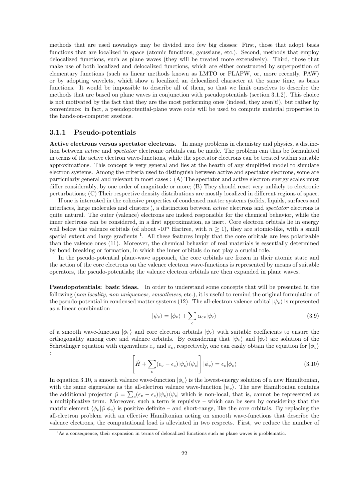methods that are used nowadays may be divided into few big classes: First, those that adopt basis functions that are localized in space (atomic functions, gaussians, etc.). Second, methods that employ delocalized functions, such as plane waves (they will be treated more extensively). Third, those that make use of both localized and delocalized functions, which are either constructed by superposition of elementary functions (such as linear methods known as LMTO or FLAPW, or, more recently, PAW) or by adopting wavelets, which show a localized an delocalized character at the same time, as basis functions. It would be impossible to describe all of them, so that we limit ourselves to describe the methods that are based on plane waves in conjunction with pseudopotentials (section 3.1.2). This choice is not motivated by the fact that they are the most performing ones (indeed, they aren't!), but rather by convenience: in fact, a pseudopotential-plane wave code will be used to compute material properties in the hands-on-computer sessions.

#### 3.1.1 Pseudo-potentials

Active electrons versus spectator electrons. In many problems in chemistry and physics, a distinction between active and spectator electronic orbitals can be made. The problem can thus be formulated in terms of the active electron wave-functions, while the spectator electrons can be treated within suitable approximations. This concept is very general and lies at the hearth of any simplified model to simulate electron systems. Among the criteria used to distinguish between active and spectator electrons, some are particularly general and relevant in most cases : (A) The spectator and active electron energy scales must differ considerably, by one order of magnitude or more; (B) They should react very unlikely to electronic perturbations; (C) Their respective density distributions are mostly localized in different regions of space.

If one is interested in the cohesive properties of condensed matter systems (solids, liquids, surfaces and interfaces, large molecules and clusters ), a distinction between active electrons and spectator electrons is quite natural. The outer (valence) electrons are indeed responsible for the chemical behavior, while the inner electrons can be considered, in a first approximation, as inert. Core electron orbitals lie in energy well below the valence orbitals (of about  $-10^n$  Hartree, with  $n \ge 1$ ), they are atomic-like, with a small spatial extent and large gradients  $<sup>1</sup>$ . All these features imply that the core orbitals are less polarizable</sup> than the valence ones (11). Moreover, the chemical behavior of real materials is essentially determined by bond breaking or formation, in which the inner orbitals do not play a crucial role.

In the pseudo-potential plane-wave approach, the core orbitals are frozen in their atomic state and the action of the core electrons on the valence electron wave-functions is represented by means of suitable operators, the pseudo-potentials; the valence electron orbitals are then expanded in plane waves.

Pseudopotentials: basic ideas. In order to understand some concepts that will be presented in the following (non locality, non uniqueness, smoothness, etc.), it is useful to remind the original formulation of the pseudo-potential in condensed matter systems (12). The all-electron valence orbital  $|\psi_v\rangle$  is represented as a linear combination

$$
|\psi_v\rangle = |\phi_v\rangle + \sum_c \alpha_{cv} |\psi_c\rangle \tag{3.9}
$$

of a smooth wave-function  $|\phi_{\eta}\rangle$  and core electron orbitals  $|\psi_{c}\rangle$  with suitable coefficients to ensure the orthogonality among core and valence orbitals. By considering that  $|\psi_v\rangle$  and  $|\psi_c\rangle$  are solution of the Schrödinger equation with eigenvalues  $\varepsilon_v$  and  $\varepsilon_c$ , respectively, one can easily obtain the equation for  $|\phi_v\rangle$  $\mathbb{R}^n$ 

$$
\left[\hat{H} + \sum_{c} (\epsilon_v - \epsilon_c) |\psi_c\rangle\langle\psi_c| \right] |\phi_v\rangle = \epsilon_v |\phi_v\rangle \tag{3.10}
$$

In equation 3.10, a smooth valence wave-function  $|\phi_v\rangle$  is the lowest-energy solution of a new Hamiltonian, with the same eigenvalue as the all-electron valence wave-function  $|\psi_v\rangle$ . The new Hamiltonian contains the additional projector  $\hat{\varphi} = \sum_{c} (\epsilon_v - \epsilon_c) |\psi_c\rangle\langle\psi_c|$  which is non-local, that is, cannot be represented as a multiplicative term. Moreover, such a term is repulsive – which can be seen by considering that the matrix element  $\langle \phi_v | \hat{\wp} | \phi_v \rangle$  is positive definite – and short-range, like the core orbitals. By replacing the all-electron problem with an effective Hamiltonian acting on smooth wave-functions that describe the valence electrons, the computational load is alleviated in two respects. First, we reduce the number of

<sup>1</sup>As a consequence, their expansion in terms of delocalized functions such as plane waves is problematic.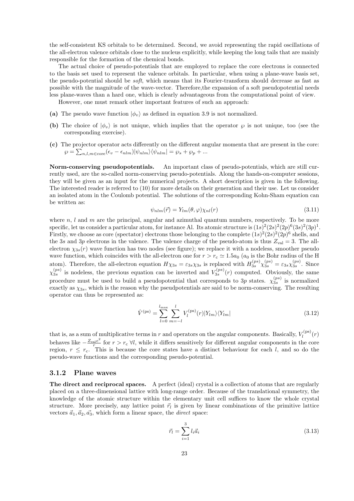the self-consistent KS orbitals to be determined. Second, we avoid representing the rapid oscillations of the all-electron valence orbitals close to the nucleus explicitly, while keeping the long tails that are mainly responsible for the formation of the chemical bonds.

The actual choice of pseudo-potentials that are employed to replace the core electrons is connected to the basis set used to represent the valence orbitals. In particular, when using a plane-wave basis set, the pseudo-potential should be soft, which means that its Fourier-transform should decrease as fast as possible with the magnitude of the wave-vector. Therefore,the expansion of a soft pseudopotential needs less plane-waves than a hard one, which is clearly advantageous from the computational point of view.

However, one must remark other important features of such an approach:

- (a) The pseudo wave function  $|\phi_v\rangle$  as defined in equation 3.9 is not normalized.
- (b) The choice of  $|\phi_v\rangle$  is not unique, which implies that the operator  $\wp$  is not unique, too (see the corresponding exercise).
- (c) The projector operator acts differently on the different angular momenta that are present in the core:  $\varphi = \sum_{n,l,m \in \text{core}} (\epsilon_v - \epsilon_{nlm}) |\psi_{nlm}\rangle \langle \psi_{nlm}| = \varphi_s + \varphi_p + ...$

Norm-conserving pseudopotentials. An important class of pseudo-potentials, which are still currently used, are the so-called norm-conserving pseudo-potentials. Along the hands-on-computer sessions, they will be given as an input for the numerical projects. A short description is given in the following. The interested reader is referred to (10) for more details on their generation and their use. Let us consider an isolated atom in the Coulomb potential. The solutions of the corresponding Kohn-Sham equation can be written as:

$$
\psi_{nlm}(\vec{r}) = Y_{lm}(\theta, \varphi) \chi_{nl}(r) \tag{3.11}
$$

where  $n, l$  and m are the principal, angular and azimuthal quantum numbers, respectively. To be more specific, let us consider a particular atom, for instance Al. Its atomic structure is  $(1s)^2(2s)^2(2p)^6(3s)^2(3p)^1$ . Firstly, we choose as core (spectator) electrons those belonging to the complete  $(1s)^2(2s)^2(2p)^6$  shells, and the 3s and 3p electrons in the valence. The valence charge of the pseudo-atom is thus  $Z_{val} = 3$ . The allelectron  $\chi_{3s}(r)$  wave function has two nodes (see figure); we replace it with a nodeless, smoother pseudo wave function, which coincides with the all-electron one for  $r > r_c \approx 1.5a_0$  ( $a_0$  is the Bohr radius of the H atom). Therefore, the all-electron equation  $H\chi_{3s} = \varepsilon_{3s}\chi_{3s}$  is replaced with  $H_{3s}^{(ps)}\chi_{3s}^{(ps)} = \varepsilon_{3s}\chi_{3s}^{(ps)}$ . Since  $\chi_{3s}^{(ps)}$  is nodeless, the previous equation can be inverted and  $V_{3s}^{(ps)}(r)$  computed. Obviously, the same procedure must be used to build a pseudopotential that corresponds to  $3p$  states.  $\chi_{3s}^{(ps)}$  is normalized exactly as  $\chi_{3s}$ , which is the reason why the pseudpotentials are said to be norm-conserving. The resulting operator can thus be represented as:

$$
\hat{V}^{(\text{ps})} = \sum_{l=0}^{l_{\text{max}}} \sum_{m=-l}^{l} V_l^{(\text{ps})}(r) |Y_{lm}\rangle \langle Y_{lm}| \tag{3.12}
$$

that is, as a sum of multiplicative terms in r and operators on the angular components. Basically,  $V_l^{(ps)}(r)$ l behaves like  $-\frac{Z_{\text{val}}e^2}{r}$  $\frac{a_1 e^2}{r}$  for  $r > r_c \forall l$ , while it differs sensitively for different angular components in the core region,  $r \leq r_c$ . This is because the core states have a distinct behaviour for each l, and so do the pseudo-wave functions and the corresponding pseudo-potential.

#### 3.1.2 Plane waves

The direct and reciprocal spaces. A perfect (ideal) crystal is a collection of atoms that are regularly placed on a three-dimensional lattice with long-range order. Because of the translational symmetry, the knowledge of the atomic structure within the elementary unit cell suffices to know the whole crystal structure. More precisely, any lattice point  $\vec{r}_l$  is given by linear combinations of the primitive lattice vectors  $\vec{a}_1, \vec{a}_2, \vec{a}_3$ , which form a linear space, the *direct* space:

$$
\vec{r}_l = \sum_{i=1}^{3} l_i \vec{a}_i \tag{3.13}
$$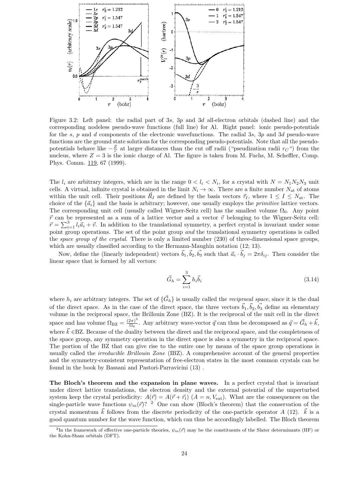

Figure 3.2: Left panel: the radial part of 3s, 3p and 3d all-electron orbitals (dashed line) and the corresponding nodeless pseudo-wave functions (full line) for Al. Right panel: ionic pseudo-potentials for the s, p and d components of the electronic wavefunctions. The radial 3s,  $3p$  and 3d pseudo-wave functions are the ground state solutions for the corresponding pseudo-potentials. Note that all the pseudopotentials behave like  $-\frac{Z}{r}$  at larger distances than the cut off radii ("pseudization radii  $r_C$ ") from the nucleus, where  $Z = 3$  is the ionic charge of Al. The figure is taken from M. Fuchs, M. Scheffler, Comp. Phys. Comm. 119, 67 (1999).

The  $l_i$  are arbitrary integers, which are in the range  $0 < l_i < N_i$ , for a crystal with  $N = N_1 N_2 N_3$  unit cells. A virtual, infinite crystal is obtained in the limit  $N_i \to \infty$ . There are a finite number  $N_{\text{at}}$  of atoms within the unit cell. Their positions  $\vec{R}_I$  are defined by the basis vectors  $\vec{\tau}_I$ , where  $1 \leq I \leq N_{\rm at}$ . The choice of the  $\{\vec{a}_i\}$  and the basis is arbitrary; however, one usually employs the *primitive* lattice vectors. The corresponding unit cell (usually called Wigner-Seitz cell) has the smallest volume  $\Omega_0$ . Any point  $\vec{r}$  can be represented as a sum of a lattice vector and a vector  $\vec{v}$  belonging to the Wigner-Seitz cell:  $\vec{r} = \sum_{i=1}^{3} l_i \vec{a}_i + \vec{v}$ . In addition to the translational symmetry, a perfect crystal is invariant under some point group operations. The set of the point group *and* the translational symmetry operations is called the *space group of the crystal*. There is only a limited number (230) of three-dimensional space groups, which are usually classified according to the Hermann-Maughin notation  $(12; 13)$ .

Now, define the (linearly independent) vectors  $\vec{b}_1, \vec{b}_2, \vec{b}_3$  such that  $\vec{a}_i \cdot \vec{b}_j = 2\pi \delta_{ij}$ . Then consider the linear space that is formed by all vectors:

$$
\vec{G}_h = \sum_{i=1}^3 h_i \vec{b}_i
$$
\n(3.14)

where  $h_i$  are arbitrary integers. The set of  $\{\vec{G}_h\}$  is usually called the *reciprocal space*, since it is the dual of the direct space. As in the case of the direct space, the three vectors  $\vec{b}_1, \vec{b}_2, \vec{b}_3$  define an elementary volume in the reciprocal space, the Brillouin Zone (BZ). It is the reciprocal of the unit cell in the direct space and has volume  $\Omega_{\rm BZ} = \frac{(2\pi)^3}{\Omega_0}$  $\frac{2\pi}{\Omega_0}$ . Any arbitrary wave-vector  $\vec{q}$  can thus be decomposed as  $\vec{q} = \vec{G}_h + \vec{k}$ , where  $\vec{k} \in BZ$ . Because of the duality between the direct and the reciprocal space, and the completeness of the space group, any symmetry operation in the direct space is also a symmetry in the reciprocal space. The portion of the BZ that can give rise to the entire one by means of the space group operations is usually called the irreducible Brillouin Zone (IBZ). A comprehensive account of the general properties and the symmetry-consistent representation of free-electron states in the most common crystals can be found in the book by Bassani and Pastori-Parravicini (13) .

The Bloch's theorem and the expansion in plane waves. In a perfect crystal that is invariant under direct lattice translations, the electron density and the external potential of the unperturbed system keep the crystal periodicity:  $A(\vec{r}) = A(\vec{r} + \vec{r}_l)$   $(A = n, V_{ext})$ . What are the consequences on the single-particle wave functions  $\psi_m(\vec{r})$ ? <sup>2</sup> One can show (Bloch's theorem) that the conservation of the crystal momentum  $\vec{k}$  follows from the discrete periodicity of the one-particle operator A (12).  $\vec{k}$  is a good quantum number for the wave function, which can thus be accordingly labelled. The Bloch theorem

<sup>&</sup>lt;sup>2</sup>In the framework of effective one-particle theories,  $\psi_m(\vec{r})$  may be the constituents of the Slater determinants (HF) or the Kohn-Sham orbitals (DFT).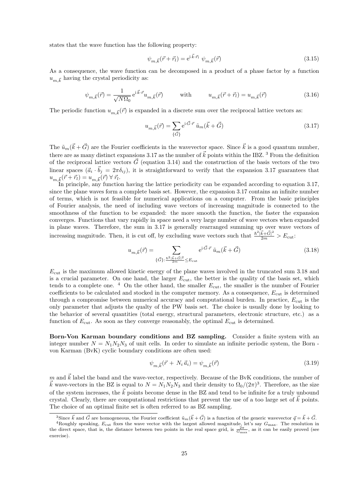states that the wave function has the following property:

$$
\psi_{m,\vec{k}}(\vec{r} + \vec{r}_l) = e^{i\vec{k}\cdot\vec{r}_l} \psi_{m,\vec{k}}(\vec{r})
$$
\n(3.15)

As a consequence, the wave function can be decomposed in a product of a phase factor by a function  $u_{m,\vec{k}}$  having the crystal periodicity as:

$$
\psi_{m,\vec{k}}(\vec{r}) = \frac{1}{\sqrt{N\Omega_0}} e^{i\vec{k}\cdot\vec{r}} u_{m,\vec{k}}(\vec{r}) \qquad \text{with} \qquad u_{m,\vec{k}}(\vec{r} + \vec{r_l}) = u_{m,\vec{k}}(\vec{r}) \tag{3.16}
$$

The periodic function  $u_{m,\vec{k}}(\vec{r})$  is expanded in a discrete sum over the reciprocal lattice vectors as:

$$
u_{m,\vec{k}}(\vec{r}) = \sum_{\{\vec{G}\}} e^{i\vec{G}\cdot\vec{r}} \tilde{u}_m(\vec{k} + \vec{G}) \tag{3.17}
$$

The  $\tilde{u}_m(\vec{k} + \vec{G})$  are the Fourier coefficients in the wavevector space. Since  $\vec{k}$  is a good quantum number, there are as many distinct expansions 3.17 as the number of  $\vec{k}$  points within the IBZ. <sup>3</sup> From the definition of the reciprocal lattice vectors  $\vec{G}$  (equation 3.14) and the construction of the basis vectors of the two linear spaces  $(\vec{a}_i \cdot \vec{b}_j = 2\pi \delta_{ij})$ , it is straightforward to verify that the expansion 3.17 guarantees that  $u_{m,\vec{k}}(\vec{r}+\vec{r}_l)=u_{m,\vec{k}}(\vec{r}) \ \forall \ \vec{r}_l.$ 

In principle, any function having the lattice periodicity can be expanded according to equation 3.17, since the plane waves form a complete basis set. However, the expansion 3.17 contains an infinite number of terms, which is not feasible for numerical applications on a computer. From the basic principles of Fourier analysis, the need of including wave vectors of increasing magnitude is connected to the smoothness of the function to be expanded: the more smooth the function, the faster the expansion converges. Functions that vary rapidly in space need a very large number of wave vectors when expanded in plane waves. Therefore, the sum in 3.17 is generally rearranged summing up over wave vectors of increasing magnitude. Then, it is cut off, by excluding wave vectors such that  $\frac{\hbar^2 |\vec{k} + \vec{G}|^2}{2m} > E_{\text{cut}}$ :

$$
u_{m,\vec{k}}(\vec{r}) = \sum_{\{\vec{G}\}:\frac{\hbar^2 |\vec{k} + \vec{G}|^2}{2m} \le E_{\text{cut}}} e^{i\vec{G}\cdot\vec{r}} \tilde{u}_m(\vec{k} + \vec{G})
$$
(3.18)

 $E_{\text{cut}}$  is the maximum allowed kinetic energy of the plane waves involved in the truncated sum 3.18 and is a crucial parameter. On one hand, the larger  $E_{\text{cut}}$ , the better is the quality of the basis set, which tends to a complete one.  $4$  On the other hand, the smaller  $E_{\text{cut}}$ , the smaller is the number of Fourier coefficients to be calculated and stocked in the computer memory. As a consequence,  $E_{\text{cut}}$  is determined through a compromise between numerical accuracy and computational burden. In practice,  $E_{\text{cut}}$  is the only parameter that adjusts the qualty of the PW basis set. The choice is usually done by looking to the behavior of several quantities (total energy, structural parameters, electronic structure, etc.) as a function of  $E_{\text{cut}}$ . As soon as they converge reasonably, the optimal  $E_{\text{cut}}$  is determined.

Born-Von Karman boundary conditions and BZ sampling. Consider a finite system with an integer number  $N = N_1N_2N_3$  of unit cells. In order to simulate an infinite periodic system, the Born von Karman (BvK) cyclic boundary conditions are often used:

$$
\psi_{m,\vec{k}}(\vec{r} + N_i \,\vec{a}_i) = \psi_{m,\vec{k}}(\vec{r}) \tag{3.19}
$$

 $m$  and  $\vec{k}$  label the band and the wave-vector, respectively. Because of the BvK conditions, the number of  $\vec{k}$  wave-vectors in the BZ is equal to  $N = N_1 N_2 N_3$  and their density to  $\Omega_0/(2\pi)^3$ . Therefore, as the size of the system increases, the  $\vec{k}$  points become dense in the BZ and tend to be infinite for a truly unbound crystal. Clearly, there are computational restrictions that prevent the use of a too large set of  $\vec{k}$  points. The choice of an optimal finite set is often referred to as BZ sampling.

<sup>&</sup>lt;sup>3</sup>Since  $\vec{k}$  and  $\vec{G}$  are homogeneous, the Fourier coefficient  $\tilde{u}_m(\vec{k} + \vec{G})$  is a function of the generic wavevector  $\vec{q} = \vec{k} + \vec{G}$ .

<sup>&</sup>lt;sup>4</sup>Roughly speaking,  $E_{\text{cut}}$  fixes the wave vector with the largest allowed magnitude, let's say  $G_{\text{max}}$ . The resolution in the direct space, that is, the distance between two points in the real space grid, is  $\frac{2\pi}{G_{\text{max}}}$ , as it can be easily proved (see exercise).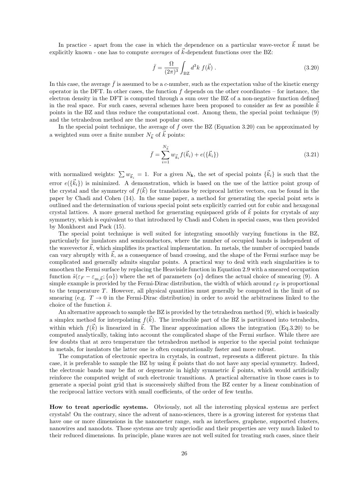In practice - apart from the case in which the dependence on a particular wave-vector  $\vec{k}$  must be explicitly known - one has to compute *averages* of  $\vec{k}$ -dependent functions over the BZ:

$$
\bar{f} = \frac{\Omega}{(2\pi)^3} \int_{\text{BZ}} d^3k f(\vec{k}) \,. \tag{3.20}
$$

In this case, the average  $\bar{f}$  is assumed to be a c-number, such as the expectation value of the kinetic energy operator in the DFT. In other cases, the function  $f$  depends on the other coordinates – for instance, the electron density in the DFT is computed through a sum over the BZ of a non-negative function defined in the real space. For such cases, several schemes have been proposed to consider as few as possible  $\vec{k}$ points in the BZ and thus reduce the computational cost. Among them, the special point technique (9) and the tetrahedron method are the most popular ones.

In the special point technique, the average of  $f$  over the BZ (Equation 3.20) can be approximated by a weighted sum over a finite number  $N_{\vec{k}}$  of  $\vec{k}$  points:

$$
\bar{f} = \sum_{i=1}^{N_{\vec{k}}} w_{\vec{k}_i} f(\vec{k}_i) + e(\{\vec{k}_i\})
$$
\n(3.21)

with normalized weights:  $\sum w_{\vec{k}_i} = 1$ . For a given  $N_{\mathbf{k}}$ , the set of special points  $\{\vec{k}_i\}$  is such that the error  $e(\{\vec{k}_i\})$  is minimized. A demonstration, which is based on the use of the lattice point group of the crystal and the symmetry of  $f(\vec{k})$  for translations by reciprocal lattice vectors, can be found in the paper by Chadi and Cohen (14). In the same paper, a method for generating the special point sets is outlined and the determination of various special point sets explicitly carried out for cubic and hexagonal crystal lattices. A more general method for generating equispaced grids of  $\vec{k}$  points for crystals of any symmetry, which is equivalent to that introduced by Chadi and Cohen in special cases, was then provided by Monkhorst and Pack (15).

The special point technique is well suited for integrating smoothly varying functions in the BZ, particularly for insulators and semiconductors, where the number of occupied bands is independent of the wavevector  $k$ , which simplifies its practical implementation. In metals, the number of occupied bands can vary abruptly with  $k$ , as a consequence of band crossing, and the shape of the Fermi surface may be complicated and generally admits singular points. A practical way to deal with such singularities is to smoothen the Fermi surface by replacing the Heaviside function in Equation 2.9 with a smeared occupation function  $\tilde{s}(\varepsilon_F - \varepsilon_{m,\vec{k}};\{\alpha\})$  where the set of parameters  $\{\alpha\}$  defines the actual choice of smearing (9). A simple example is provided by the Fermi-Dirac distribution, the width of which around  $\varepsilon_F$  is proportional to the temperature T. However, all physical quantities must generally be computed in the limit of no smearing (e.g.  $T \to 0$  in the Fermi-Dirac distribution) in order to avoid the arbitrariness linked to the choice of the function  $\tilde{s}$ .

An alternative approach to sample the BZ is provided by the tetrahedron method (9), which is basically a simplex method for interpolating  $f(\vec{k})$ . The irreducible part of the BZ is partitioned into tetrahedra, within which  $f(\vec{k})$  is linearized in  $\vec{k}$ . The linear approximation allows the integration (Eq.3.20) to be computed analytically, taking into account the complicated shape of the Fermi surface. While there are few doubts that at zero temperature the tetrahedron method is superior to the special point technique in metals, for insulators the latter one is often computationally faster and more robust.

The computation of electronic spectra in crystals, in contrast, represents a different picture. In this case, it is preferable to sample the BZ by using  $\vec{k}$  points that do not have any special symmetry. Indeed, the electronic bands may be flat or degenerate in highly symmetric  $k$  points, which would artificially reinforce the computed weight of such electronic transitions. A practical alternative in those cases is to generate a special point grid that is successively shifted from the BZ center by a linear combination of the reciprocal lattice vectors with small coefficients, of the order of few tenths.

How to treat aperiodic systems. Obviously, not all the interesting physical systems are perfect crystals! On the contrary, since the advent of nano-sciences, there is a growing interest for systems that have one or more dimensions in the nanometer range, such as interfaces, graphene, supported clusters, nanowires and nanodots. Those systems are truly aperiodic and their properties are very much linked to their reduced dimensions. In principle, plane waves are not well suited for treating such cases, since their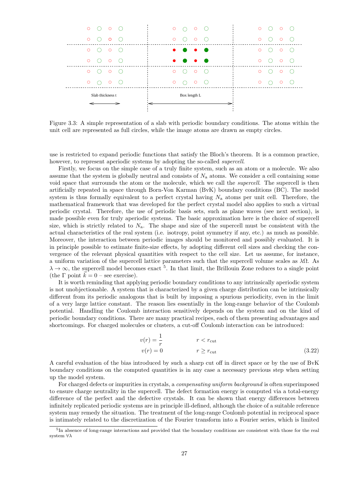

Figure 3.3: A simple representation of a slab with periodic boundary conditions. The atoms within the unit cell are represented as full circles, while the image atoms are drawn as empty circles.

use is restricted to expand periodic functions that satisfy the Bloch's theorem. It is a common practice, however, to represent aperiodic systems by adopting the so-called *supercell*.

Firstly, we focus on the simple case of a truly finite system, such as an atom or a molecule. We also assume that the system is globally neutral and consists of  $N_a$  atoms. We consider a cell containing some void space that surrounds the atom or the molecule, which we call the *supercell*. The supercell is then artificially repeated in space through Born-Von Karman (BvK) boundary conditions (BC). The model system is thus formally equivalent to a perfect crystal having  $N_a$  atoms per unit cell. Therefore, the mathematical framework that was developed for the perfect crystal model also applies to such a virtual periodic crystal. Therefore, the use of periodic basis sets, such as plane waves (see next section), is made possible even for truly aperiodic systems. The basic approximation here is the choice of supercell size, which is strictly related to  $N_a$ . The shape and size of the supercell must be consistent with the actual characteristics of the real system (i.e. isotropy, point symmetry if any, etc.) as much as possible. Moreover, the interaction between periodic images should be monitored and possibly evaluated. It is in principle possible to estimate finite-size effects, by adopting different cell sizes and checking the convergence of the relevant physical quantities with respect to the cell size. Let us assume, for instance, a uniform variation of the supercell lattice parameters such that the supercell volume scales as  $\lambda \Omega$ . As  $\lambda \to \infty$ , the supercell model becomes exact <sup>5</sup>. In that limit, the Brillouin Zone reduces to a single point (the  $\Gamma$  point  $k = 0$  – see exercise).

It is worth reminding that applying periodic boundary conditions to any intrinsically aperiodic system is not unobjectionable. A system that is characterized by a given charge distribution can be intrinsically different from its periodic analogous that is built by imposing a spurious periodicity, even in the limit of a very large lattice constant. The reason lies essentially in the long-range behavior of the Coulomb potential. Handling the Coulomb interaction sensitively depends on the system and on the kind of periodic boundary conditions. There are many practical recipes, each of them presenting advantages and shortcomings. For charged molecules or clusters, a cut-off Coulomb interaction can be introduced:

$$
v(r) = \frac{1}{r}
$$
  
\n
$$
v(r) = 0
$$
  
\n
$$
r \ge r_{\text{cut}}
$$
  
\n
$$
r \ge r_{\text{cut}}
$$
  
\n(3.22)

A careful evaluation of the bias introduced by such a sharp cut off in direct space or by the use of BvK boundary conditions on the computed quantities is in any case a necessary previous step when setting up the model system.

For charged defects or impurities in crystals, a compensating uniform background is often superimposed to ensure charge neutrality in the supercell. The defect formation energy is computed via a total-energy difference of the perfect and the defective crystals. It can be shown that energy differences between infinitely replicated periodic systems are in principle ill-defined, although the choice of a suitable reference system may remedy the situation. The treatment of the long-range Coulomb potential in reciprocal space is intimately related to the discretization of the Fourier transform into a Fourier series, which is limited

<sup>&</sup>lt;sup>5</sup>In absence of long-range interactions and provided that the boundary conditions are consistent with those for the real system  $\forall \lambda$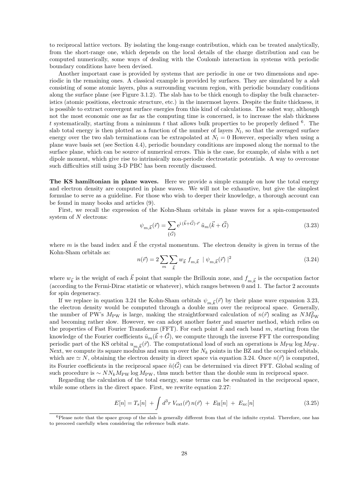to reciprocal lattice vectors. By isolating the long-range contribution, which can be treated analytically, from the short-range one, which depends on the local details of the charge distribution and can be computed numerically, some ways of dealing with the Coulomb interaction in systems with periodic boundary conditions have been devised.

Another important case is provided by systems that are periodic in one or two dimensions and aperiodic in the remaining ones. A classical example is provided by surfaces. They are simulated by a *slab* consisting of some atomic layers, plus a surrounding vacuum region, with periodic boundary conditions along the surface plane (see Figure 3.1.2). The slab has to be thick enough to display the bulk characteristics (atomic positions, electronic structure, etc.) in the innermost layers. Despite the finite thickness, it is possible to extract convergent surface energies from this kind of calculations. The safest way, although not the most economic one as far as the computing time is concerned, is to increase the slab thickness t systematically, starting from a minimum t that allows bulk properties to be properly defined  $6$ . The slab total energy is then plotted as a function of the number of layers  $N_l$ , so that the averaged surface energy over the two slab terminations can be extrapolated at  $N_l = 0$  However, especially when using a plane wave basis set (see Section 4.4), periodic boundary conditions are imposed along the normal to the surface plane, which can be source of numerical errors. This is the case, for example, of slabs with a net dipole moment, which give rise to intrinsically non-periodic electrostatic potentials. A way to overcome such difficulties still using 3-D PBC has been recently discussed.

The KS hamiltonian in plane waves. Here we provide a simple example on how the total energy and electron density are computed in plane waves. We will not be exhaustive, but give the simplest formulae to serve as a guideline. For those who wish to deeper their knowledge, a thorough account can be found in many books and articles (9).

First, we recall the expression of the Kohn-Sham orbitals in plane waves for a spin-compensated system of  $N$  electrons:

$$
\psi_{m,\vec{k}}(\vec{r}) = \sum_{\{\vec{G}\}} e^{i(\vec{k} + \vec{G}) \cdot \vec{r}} \tilde{u}_m(\vec{k} + \vec{G}) \tag{3.23}
$$

where m is the band index and  $\vec{k}$  the crystal momentum. The electron density is given in terms of the Kohn-Sham orbitals as:

$$
n(\vec{r}) = 2 \sum_{m} \sum_{\vec{k}} w_{\vec{k}} f_{m,\vec{k}} \, |\psi_{m,\vec{k}}(\vec{r})|^2 \tag{3.24}
$$

where  $w_{\vec{k}}$  is the weight of each  $\vec{k}$  point that sample the Brillouin zone, and  $f_{m,\vec{k}}$  is the occupation factor (according to the Fermi-Dirac statistic or whatever), which ranges between 0 and 1. The factor 2 accounts for spin degeneracy.

If we replace in equation 3.24 the Kohn-Sham orbitals  $\psi_{m,\vec{k}}(\vec{r})$  by their plane wave expansion 3.23, the electron density would be computed through a double sum over the reciprocal space. Generally, the number of PW's  $M_{\text{PW}}$  is large, making the straightforward calculation of  $n(\vec{r})$  scaling as  $NM_{\text{PW}}^2$ and becoming rather slow. However, we can adopt another faster and smarter method, which relies on the properties of Fast Fourier Transforms (FFT). For each point  $\vec{k}$  and each band m, starting from the knowledge of the Fourier coefficients  $\tilde{u}_m(\vec{k}+\vec{G})$ , we compute through the inverse FFT the corresponding periodic part of the KS orbital  $u_{m,\vec{k}}(\vec{r})$ . The computational load of such an operations is  $M_{\rm PW}$  log  $M_{\rm PW}$ . Next, we compute its square modulus and sum up over the  $N_k$  points in the BZ and the occupied orbitals, which are  $\approx N$ , obtaining the electron density in direct space via equation 3.24. Once  $n(\vec{r})$  is computed, its Fourier coefficients in the reciprocal space  $\tilde{n}(\vec{G})$  can be determined via direct FFT. Global scaling of such procedure is ∼  $NN_kM_{\text{PW}}$  log  $M_{\text{PW}}$ , thus much better than the double sum in reciprocal space.

Regarding the calculation of the total energy, some terms can be evaluated in the reciprocal space, while some others in the direct space. First, we rewrite equation 2.27:

$$
E[n] = T_s[n] + \int d^3r \, V_{\text{ext}}(\vec{r}) \, n(\vec{r}) + E_H[n] + E_{\text{xc}}[n] \tag{3.25}
$$

 $6P$ lease note that the space group of the slab is generally different from that of the infinite crystal. Therefore, one has to preoceed carefully when considering the reference bulk state.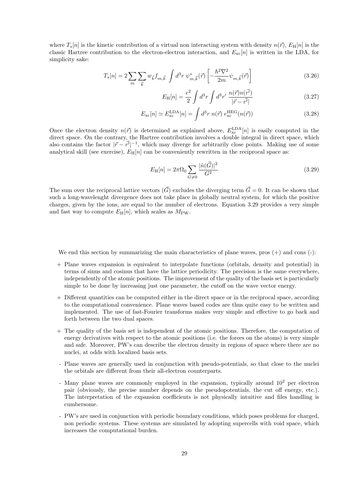where  $T_s[n]$  is the kinetic contribution of a virtual non interacting system with density  $n(\vec{r})$ ,  $E_H[n]$  is the classic Hartree contribution to the electron-electron interaction, and  $E_{\rm xc}[n]$  is written in the LDA, for simplicity sake:

$$
T_s[n] = 2 \sum_{m} \sum_{\vec{k}} w_{\vec{k}} f_{m,\vec{k}} \int d^3 r \, \psi_{m,\vec{k}}^* (\vec{r}) \left[ -\frac{\hbar^2 \nabla^2}{2m} \psi_{m,\vec{k}} (\vec{r}) \right] \tag{3.26}
$$

$$
E_{\rm H}[n] = \frac{e^2}{2} \int d^3r \int d^3r' \, \frac{n(\vec{r})n(\vec{r'})}{|\vec{r} - \vec{r'}|} \tag{3.27}
$$

$$
E_{\rm xc}[n] \simeq E_{\rm xc}^{\rm LDA}[n] = \int d^3r \; n(\vec{r}) \; e_{\rm xc}^{\rm HEG}(n(\vec{r})) \tag{3.28}
$$

Once the electron density  $n(\vec{r})$  is determined as explained above,  $E_{\rm xc}^{\rm LDA}[n]$  is easily computed in the direct space. On the contrary, the Hartree contribution involves a double integral in direct space, which also contains the factor  $|\vec{r} - \vec{r'}|^{-1}$ , which may diverge for arbitrarily close points. Making use of some analytical skill (see exercise),  $E_H[n]$  can be conveniently rewritten in the reciprocal space as:

$$
E_{\rm H}[n] = 2\pi \Omega_0 \sum_{G \neq 0} \frac{|\tilde{n}(\vec{G})|^2}{G^2}
$$
\n(3.29)

The sum over the reciprocal lattice vectors  $(\vec{G})$  excludes the diverging term  $\vec{G} = 0$ . It can be shown that such a long-wavelenght divergence does not take place in globally neutral system, for which the positive charges, given by the ions, are equal to the number of electrons. Equation 3.29 provides a very simple and fast way to compute  $E_{\rm H}[n]$ , which scales as  $M_{\rm PW}$ .

We end this section by summarizing the main characteristics of plane waves, pros  $(+)$  and cons  $(-)$ :

- + Plane waves expansion is equivalent to interpolate functions (orbitals, density and potential) in terms of sinus and cosinus that have the lattice periodicity. The precision is the same everywhere, independently of the atomic positions. The improvement of the quality of the basis set is particularly simple to be done by increasing just one parameter, the cutoff on the wave vector energy.
- + Different quantities can be computed either in the direct space or in the reciprocal space, according to the computational convenience. Plane waves based codes are thus quite easy to be written and implemented. The use of fast-Fourier transforms makes very simple and effective to go back and forth between the two dual spaces.
- + The quality of the basis set is independent of the atomic positions. Therefore, the computation of energy derivatives with respect to the atomic positions (i.e. the forces on the atoms) is very simple and safe. Moreover, PW's can describe the electron density in regions of space where there are no nuclei, at odds with localized basis sets.
- Plane waves are generally used in conjunction with pseudo-potentials, so that close to the nuclei the orbitals are different from their all-electron counterparts.
- Many plane waves are commonly employed in the expansion, typically around  $10<sup>2</sup>$  per electron pair (obviously, the precise number depends on the pseudopotentials, the cut off energy, etc.). The interpretation of the expansion coefficients is not physically intuitive and files handling is cumbersome.
- PW's are used in conjunction with periodic boundary conditions, which poses problems for charged, non periodic systems. These systems are simulated by adopting supercells with void space, which increases the computational burden.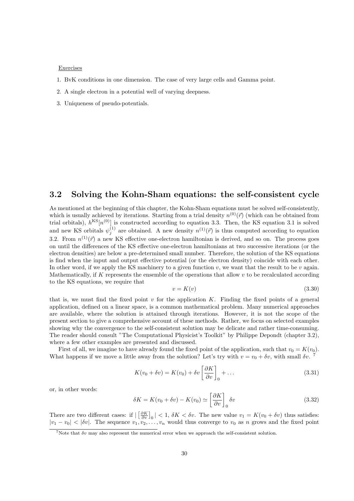#### Exercises

- 1. BvK conditions in one dimension. The case of very large cells and Gamma point.
- 2. A single electron in a potential well of varying deepness.
- 3. Uniqueness of pseudo-potentials.

## 3.2 Solving the Kohn-Sham equations: the self-consistent cycle

As mentioned at the beginning of this chapter, the Kohn-Sham equations must be solved self-consistently, which is usually achieved by iterations. Starting from a trial density  $n^{(0)}(\vec{r})$  (which can be obtained from trial orbitals),  $h^{KS}[n^{(0)}]$  is constructed according to equation 3.3. Then, the KS equation 3.1 is solved and new KS orbitals  $\psi_j^{(1)}$  are obtained. A new density  $n^{(1)}(\vec{r})$  is thus computed according to equation 3.2. From  $n^{(1)}(\vec{r})$  a new KS effective one-electron hamiltonian is derived, and so on. The process goes on until the differences of the KS effective one-electron hamiltonians at two successive iterations (or the electron densities) are below a pre-determined small number. Therefore, the solution of the KS equations is find when the input and output effective potential (or the electron density) coincide with each other. In other word, if we apply the KS machinery to a given function  $v$ , we want that the result to be  $v$  again. Mathematically, if  $K$  represents the ensemble of the operations that allow  $v$  to be recalculated according to the KS equations, we require that

$$
v = K(v) \tag{3.30}
$$

that is, we must find the fixed point  $v$  for the application  $K$ . Finding the fixed points of a general application, defined on a linear space, is a common mathematical problem. Many numerical approaches are available, where the solution is attained through iterations. However, it is not the scope of the present section to give a comprehensive account of these methods. Rather, we focus on selected examples showing why the convergence to the self-consistent solution may be delicate and rather time-consuming. The reader should consult "The Computational Physicist's Toolkit" by Philippe Depondt (chapter 3.2), where a few other examples are presented and discussed.

First of all, we imagine to have already found the fixed point of the application, such that  $v_0 = K(v_0)$ . What happens if we move a little away from the solution? Let's try with  $v = v_0 + \delta v$ , with small  $\delta v$ . 7

$$
K(v_0 + \delta v) = K(v_0) + \delta v \left[ \frac{\partial K}{\partial v} \right]_0 + \dots \tag{3.31}
$$

or, in other words:

$$
\delta K = K(v_0 + \delta v) - K(v_0) \simeq \left[\frac{\partial K}{\partial v}\right]_0 \delta v \tag{3.32}
$$

There are two different cases: if  $\left|\left[\frac{\partial K}{\partial v}\right]_0\right| < 1$ ,  $\delta K < \delta v$ . The new value  $v_1 = K(v_0 + \delta v)$  thus satisfies:  $|v_1 - v_0| < |\delta v|$ . The sequence  $v_1, v_2, \ldots, v_n$  would thus converge to  $v_0$  as n grows and the fixed point

<sup>&</sup>lt;sup>7</sup>Note that  $\delta v$  may also represent the numerical error when we approach the self-consistent solution.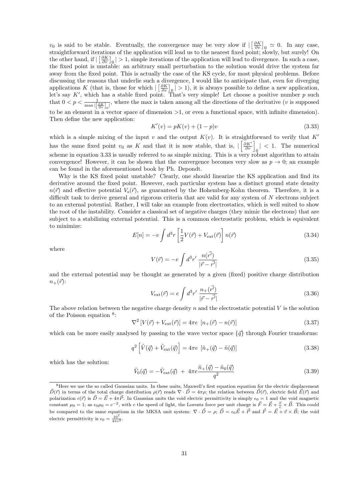$v_0$  is said to be stable. Eventually, the convergence may be very slow if  $\left[\frac{\partial K}{\partial v}\right]_0 \simeq 0$ . In any case, straightforward iterations of the application will lead us to the nearest fixed point; slowly, but surely! On the other hand, if  $\left[\frac{\partial K}{\partial v}\right]_0$  > 1, simple iterations of the application will lead to divergence. In such a case, the fixed point is unstable: an arbitrary small perturbation to the solution would drive the system far away from the fixed point. This is actually the case of the KS cycle, for most physical problems. Before discussing the reasons that underlie such a divergence, I would like to anticipate that, even for diverging applications K (that is, those for which  $\left[\frac{\partial K}{\partial v}\right]_0$  | > 1), it is always possible to define a new application, let's say  $K'$ , which has a stable fixed point. That's very simple! Let choose a positive number p such that  $0 < p < \frac{1}{\max\left[\frac{\partial K}{\partial v}\right]_0}$ , where the max is taken among all the directions of the derivative (*v* is supposed to be an element in a vector space of dimension  $>1$ , or even a functional space, with infinite dimension).

Then define the new application:

$$
K'(v) = pK(v) + (1 - p)v
$$
\n(3.33)

which is a simple mixing of the input v and the output  $K(v)$ . It is straightforward to verify that  $K'$ has the same fixed point  $v_0$  as K and that it is now stable, that is,  $\left[\frac{\partial K'}{\partial v}\right]_0$  | < 1. The numerical scheme in equation 3.33 is usually referred to as simple mixing. This is a very robust algorithm to attain convergence! However, it can be shown that the convergence becomes very slow as  $p \to 0$ ; an example can be found in the aforementioned book by Ph. Depondt.

Why is the KS fixed point unstable? Clearly, one should linearize the KS application and find its derivative around the fixed point. However, each particular system has a distinct ground state density  $n(\vec{r})$  and effective potential  $V_s(\vec{r})$ , as guaranteed by the Hohemberg-Kohn theorem. Therefore, it is a difficult task to derive general and rigorous criteria that are valid for any system of N electrons subject to an external potential. Rather, I will take an example from electrostatics, which is well suited to show the root of the instability. Consider a classical set of negative charges (they mimic the electrons) that are subject to a stabilizing external potential. This is a common electrostatic problem, which is equivalent to minimize:

$$
E[n] = -e \int d^3r \left[ \frac{1}{2} V(\vec{r}) + V_{\text{ext}}(\vec{r}) \right] n(\vec{r}) \tag{3.34}
$$

where

$$
V(\vec{r}) = -e \int d^3r' \frac{n(\vec{r'})}{|\vec{r} - \vec{r'}|}
$$
\n(3.35)

and the external potential may be thought as generated by a given (fixed) positive charge distribution  $n_+(\vec{r})$ :

$$
V_{\text{ext}}(\vec{r}) = e \int d^3 r' \, \frac{n_+(\vec{r'})}{|\vec{r} - \vec{r'}|} \tag{3.36}
$$

The above relation between the negative charge density  $n$  and the electrostatic potential  $V$  is the solution of the Poisson equation <sup>8</sup>:

$$
\nabla^2 \left[ V(\vec{r}) + V_{\text{ext}}(\vec{r}) \right] = 4\pi e \left[ n_+(\vec{r}) - n(\vec{r}) \right] \tag{3.37}
$$

which can be more easily analysed by passing to the wave vector space  $\{\vec{q}\}\$  through Fourier transforms:

$$
q^2 \left[ \tilde{V}(\vec{q}) + \tilde{V}_{\text{ext}}(\vec{q}) \right] = 4\pi e \left[ \tilde{n}_{+}(\vec{q}) - \tilde{n}(\vec{q}) \right]
$$
\n(3.38)

which has the solution:

$$
\tilde{V}_0(\vec{q}) = -\tilde{V}_{\text{ext}}(\vec{q}) + 4\pi e \frac{\tilde{n}_+(\vec{q}) - \tilde{n}_0(\vec{q})}{q^2} \tag{3.39}
$$

<sup>&</sup>lt;sup>8</sup>Here we use the so called Gaussian units. In these units, Maxwell's first equation equation for the electric displacement  $\vec{D}(\vec{r})$  in terms of the total charge distribution  $\rho(\vec{r})$  reads  $\nabla \cdot \vec{D} = 4\pi \rho$ ; the relation between  $\vec{D}(\vec{r})$ , electric field  $\vec{E}(\vec{r})$  and polarization  $c(\vec{r})$  is  $\vec{D} = \vec{E} + 4\pi\vec{P}$ . In Gaussian units the void electric permittivity is simply  $\epsilon_0 = 1$  and the void magnetic constant  $\mu_0 = 1$ ; as  $\epsilon_0 \mu_0 = c^{-2}$ , with c the speed of light, the Lorentz force per unit charge is  $\vec{F} = \vec{E} + \frac{\vec{v}}{c} \times \vec{B}$ . This could be compared to the same equations in the MKSA unit system:  $\nabla \cdot \vec{D} = \rho$ ;  $\vec{D} = \epsilon_0 \vec{E} + \vec{P}$  and  $\vec{F} = \vec{E} + \vec{v} \times \vec{B}$ ; the void electric permittivity is  $\epsilon_0 = \frac{10^7}{4\pi c^2}$ .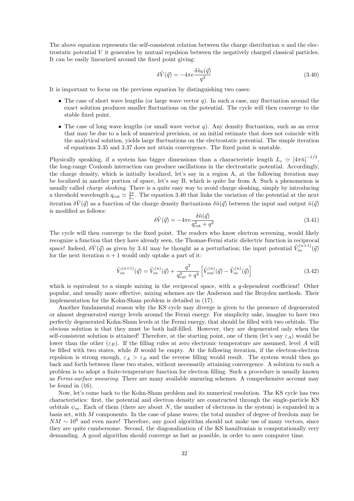The above equation represents the self-consistent relation between the charge distribution n and the electrostatic potential V it generates by mutual repulsion between the negatively charged classical particles. It can be easily linearized around the fixed point giving:

$$
\delta\tilde{V}(\vec{q}) = -4\pi e \frac{\delta\tilde{n}_0(\vec{q})}{q^2} \tag{3.40}
$$

It is important to focus on the previous equation by distinguishing two cases:

- The case of short wave lengths (or large wave vector  $q$ ). In such a case, any fluctuation around the exact solution produces smaller fluctuations on the potential. The cycle will then converge to the stable fixed point.
- The case of long wave lengths (or small wave vector  $q$ ). Any density fluctuation, such as an error that may be due to a lack of numerical precision, or an initial estimate that does not coincide with the analytical solution, yields large fluctuations on the electrostatic potential. The simple iteration of equations 3.35 and 3.37 does not attain convergence. The fixed point is unstable.

Physically speaking, if a system has bigger dimensions than a characteristic length  $L_c \simeq [4\pi\bar{n}]^{-1/3}$ , the long-range Coulomb interaction can produce oscillations in the electrostatic potential. Accordingly, the charge density, which is initially localized, let's say in a region A, at the following iteration may be localized in another portion of space, let's say B, which is quite far from A. Such a phenomenon is usually called *charge sloshing*. There is a quite easy way to avoid charge sloshing, simply by introducing a threshold wavelength  $q_{\text{cut}} \simeq \frac{2\pi}{L_c}$ . The equation 3.40 that links the variation of the potential at the next iteration  $\delta\tilde{V}(\vec{q})$  as a function of the charge density fluctuations  $\delta\tilde{n}(\vec{q})$  between the input and output  $\tilde{n}(\vec{q})$ is modified as follows:

$$
\delta\tilde{V}(\vec{q}) = -4\pi e \frac{\delta\tilde{n}(\vec{q})}{q_{\text{cut}}^2 + q^2} \tag{3.41}
$$

The cycle will then converge to the fixed point. The readers who know electron screening, would likely recognize a function that they have already seen, the Thomas-Fermi static dielectric function in reciprocal space! Indeed,  $\delta\tilde{V}(\vec{q})$  as given by 3.41 may be thought as a perturbation; the input potential  $\tilde{V}_{in}^{(n+1)}(\vec{q})$ for the next iteration  $n + 1$  would only uptake a part of it:

$$
\tilde{V}_{in}^{(n+1)}(\vec{q}) = \tilde{V}_{in}^{(n)}(\vec{q}) + \frac{q^2}{q_{\text{cut}}^2 + q^2} \left[ \tilde{V}_{out}^{(n)}(\vec{q}) - \tilde{V}_{in}^{(n)}(\vec{q}) \right]
$$
\n(3.42)

which is equivalent to a simple mixing in the reciprocal space, with a  $q$ -dependent coefficient! Other popular, and usually more effective, mixing schemes are the Anderson and the Broyden methods. Their implementation for the Kohn-Sham problem is detailed in (17).

Another fundamental reason why the KS cycle may diverge is given to the presence of degenerated or almost degenerated energy levels around the Fermi energy. For simplicity sake, imagine to have two perfectly degenerated Kohn-Sham levels at the Fermi energy, that should be filled with two orbitals. The obvious solution is that they must be both half-filled. However, they are degenerated only when the self-consistent solution is attained! Therefore, at the starting point, one of them (let's say  $\varepsilon_A$ ) would be lower than the other  $(\varepsilon_B)$ . If the filling rules at zero electronic temperature are assumed, level A will be filled with two states, while  $B$  would be empty. At the following iteration, if the electron-electron repulsion is strong enough,  $\varepsilon_A > \varepsilon_B$  and the reverse filling would result. The system would then go back and forth between these two states, without necessarily attaining convergence. A solution to such a problem is to adopt a finite-temperature function for electron filling. Such a procedure is usually known as Fermi-surface smearing. There are many available smearing schemes. A comprehensive account may be found in (16).

Now, let's come back to the Kohn-Sham problem and its numerical resolution. The KS cycle has two characteristics: first, the potential and electron density are constructed through the single-particle KS orbitals  $\psi_m$ . Each of them (there are about N, the number of electrons in the system) is expanded in a basis set, with M components. In the case of plane waves, the total number of degree of freedom may be  $NM \sim 10^6$  and even more! Therefore, any good algorithm should not make use of many vectors, since they are quite cumbersome. Second, the diagonalization of the KS hamiltonian is computationally very demanding. A good algorithm should converge as fast as possible, in order to save computer time.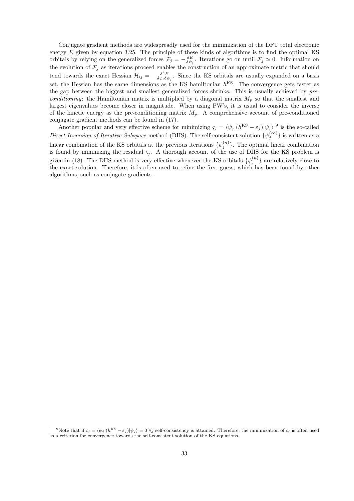Conjugate gradient methods are widespreadly used for the minimization of the DFT total electronic energy  $E$  given by equation 3.25. The principle of these kinds of algorithms is to find the optimal KS orbitals by relying on the generalized forces  $\mathcal{F}_j = -\frac{\delta E}{\delta \psi_j}$ . Iterations go on until  $\mathcal{F}_j \simeq 0$ . Information on the evolution of  $\mathcal{F}_j$  as iterations proceed enables the construction of an approximate metric that should tend towards the exact Hessian  $\mathcal{H}_{ij} = -\frac{\delta^2 E}{\delta \psi_i \delta \psi_j}$ . Since the KS orbitals are usually expanded on a basis set, the Hessian has the same dimensions as the KS hamiltonian  $h^{KS}$ . The convergence gets faster as the gap between the biggest and smallest generalized forces shrinks. This is usually achieved by preconditioning: the Hamiltonian matrix is multiplied by a diagonal matrix  $M_p$  so that the smallest and largest eigenvalues become closer in magnitude. When using PW's, it is usual to consider the inverse of the kinetic energy as the pre-conditioning matrix  $M_p$ . A comprehensive account of pre-conditioned conjugate gradient methods can be found in (17).

Another popular and very effective scheme for minimizing  $\varsigma_j = \langle \psi_j | (h^{KS} - \varepsilon_j) | \psi_j \rangle$ <sup>9</sup> is the so-called Direct Inversion of Iterative Subspace method (DIIS). The self-consistent solution  $\{\psi_j^{(\infty)}\}$  is written as a linear combination of the KS orbitals at the previous iterations  $\{\psi_j^{(n)}\}$ . The optimal linear combination is found by minimizing the residual  $\varsigma_j$ . A thorough account of the use of DIIS for the KS problem is given in (18). The DIIS method is very effective whenever the KS orbitals  $\{\psi_j^{(n)}\}$  are relatively close to the exact solution. Therefore, it is often used to refine the first guess, which has been found by other algorithms, such as conjugate gradients.

<sup>&</sup>lt;sup>9</sup>Note that if  $\varsigma_j = \langle \psi_j | (h^{KS} - \varepsilon_j) | \psi_j \rangle = 0$   $\forall j$  self-consistency is attained. Therefore, the minimization of  $\varsigma_j$  is often used as a criterion for convergence towards the self-consistent solution of the KS equations.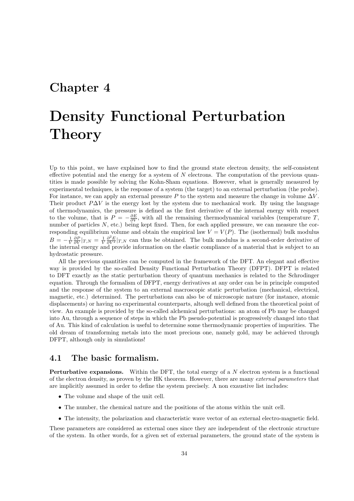## Chapter 4

# Density Functional Perturbation **Theory**

Up to this point, we have explained how to find the ground state electron density, the self-consistent effective potential and the energy for a system of  $N$  electrons. The computation of the previous quantities is made possible by solving the Kohn-Sham equations. However, what is generally measured by experimental techniques, is the response of a system (the target) to an external perturbation (the probe). For instance, we can apply an external pressure P to the system and measure the change in volume  $\Delta V$ . Their product  $P\Delta V$  is the energy lost by the system due to mechanical work. By using the language of thermodynamics, the pressure is defined as the first derivative of the internal energy with respect to the volume, that is  $P = -\frac{\partial E}{\partial V}$ , with all the remaining thermodynamical variables (temperature T, number of particles  $N$ , etc.) being kept fixed. Then, for each applied pressure, we can measure the corresponding equilibrium volume and obtain the empirical law  $V = V(P)$ . The (isothermal) bulk modulus  $B = -\frac{1}{V} \frac{\partial P}{\partial V} |_{T,N} = \frac{1}{V} \frac{\partial^2 E}{\partial V^2} |_{T,N}$  can thus be obtained. The bulk modulus is a second-order derivative of the internal energy and provide information on the elastic compliance of a material that is subject to an hydrostatic pressure.

All the previous quantities can be computed in the framework of the DFT. An elegant and effective way is provided by the so-called Density Functional Perturbation Theory (DFPT). DFPT is related to DFT exactly as the static perturbation theory of quantum mechanics is related to the Schrodinger equation. Through the formalism of DFPT, energy derivatives at any order can be in principle computed and the response of the system to an external macroscopic static perturbation (mechanical, electrical, magnetic, etc.) determined. The perturbations can also be of microscopic nature (for instance, atomic displacements) or having no experimental counterparts, altough well defined from the theoretical point of view. An example is provided by the so-called alchemical perturbations: an atom of Pb may be changed into Au, through a sequence of steps in which the Pb pseudo-potential is progressively changed into that of Au. This kind of calculation is useful to determine some thermodynamic properties of impurities. The old dream of transforming metals into the most precious one, namely gold, may be achieved through DFPT, although only in simulations!

### 4.1 The basic formalism.

**Perturbative expansions.** Within the DFT, the total energy of a  $N$  electron system is a functional of the electron density, as proven by the HK theorem. However, there are many external parameters that are implicitly assumed in order to define the system precisely. A non exaustive list includes:

- The volume and shape of the unit cell.
- The number, the chemical nature and the positions of the atoms within the unit cell.
- The intensity, the polarization and characteristic wave vector of an external electro-magnetic field.

These parameters are considered as external ones since they are independent of the electronic structure of the system. In other words, for a given set of external parameters, the ground state of the system is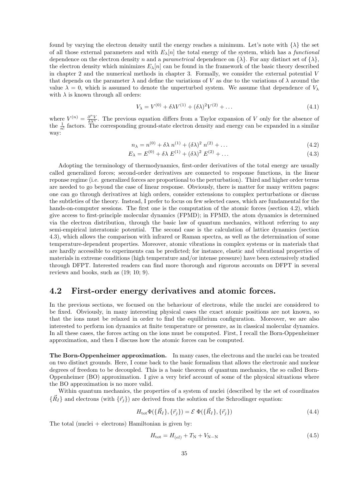found by varying the electron density until the energy reaches a minimum. Let's note with  $\{\lambda\}$  the set of all those external parameters and with  $E_{\lambda}[n]$  the total energy of the system, which has a *functional* dependence on the electron density n and a parametrical dependence on  $\{\lambda\}$ . For any distinct set of  $\{\lambda\}$ , the electron density which minimizes  $E_{\lambda}[n]$  can be found in the framework of the basic theory described in chapter 2 and the numerical methods in chapter 3. Formally, we consider the external potential V that depends on the parameter  $\lambda$  and define the variations of V as due to the variations of  $\lambda$  around the value  $\lambda = 0$ , which is assumed to denote the unperturbed system. We assume that dependence of  $V_{\lambda}$ with  $\lambda$  is known through all orders:

$$
V_{\lambda} = V^{(0)} + \delta \lambda V^{(1)} + (\delta \lambda)^2 V^{(2)} + \dots \tag{4.1}
$$

where  $V^{(n)} = \frac{\partial^n V}{\partial \lambda^n}$ . The previous equation differs from a Taylor expansion of V only for the absence of the  $\frac{1}{n!}$  factors. The corresponding ground-state electron density and energy can be expanded in a similar way:

$$
n_{\lambda} = n^{(0)} + \delta \lambda \ n^{(1)} + (\delta \lambda)^2 \ n^{(2)} + \dots \tag{4.2}
$$

$$
E_{\lambda} = E^{(0)} + \delta \lambda E^{(1)} + (\delta \lambda)^2 E^{(2)} + \dots
$$
\n(4.3)

Adopting the terminology of thermodynamics, first-order derivatives of the total energy are usually called generalized forces; second-order derivatives are connected to response functions, in the linear reponse regime (i.e. generalized forces are proportional to the perturbation). Third and higher order terms are needed to go beyond the case of linear response. Obviously, there is matter for many written pages: one can go through derivatives at high orders, consider extensions to complex perturbations or discuss the subtleties of the theory. Instead, I prefer to focus on few selected cases, which are fundamental for the hands-on-computer sessions. The first one is the computation of the atomic forces (section 4.2), which give access to first-principle molecular dynamics (FPMD); in FPMD, the atom dynamics is determined via the electron distribution, through the basic law of quantum mechanics, without referring to any semi-empirical interatomic potential. The second case is the calculation of lattice dynamics (section 4.3), which allows the comparison with infrared or Raman spectra, as well as the determination of some temperature-dependent properties. Moreover, atomic vibrations in complex systems or in materials that are hardly accessible to experiments can be predicted; for instance, elastic and vibrational properties of materials in extreme conditions (high temperature and/or intense pressure) have been extensively studied through DFPT. Interested readers can find more thorough and rigorous accounts on DFPT in several reviews and books, such as (19; 10; 9).

### 4.2 First-order energy derivatives and atomic forces.

In the previous sections, we focused on the behaviour of electrons, while the nuclei are considered to be fixed. Obviously, in many interesting physical cases the exact atomic positions are not known, so that the ions must be relaxed in order to find the equilibrium configuration. Moreover, we are also interested to perform ion dynamics at finite temperature or pressure, as in classical molecular dynamics. In all these cases, the forces acting on the ions must be computed. First, I recall the Born-Oppenheimer approximation, and then I discuss how the atomic forces can be computed.

The Born-Oppenheimer approximation. In many cases, the electrons and the nuclei can be treated on two distinct grounds. Here, I come back to the basic formalism that allows the electronic and nuclear degrees of freedom to be decoupled. This is a basic theorem of quantum mechanics, the so called Born-Oppenheimer (BO) approximation. I give a very brief account of some of the physical situations where the BO approximation is no more valid.

Within quantum mechanics, the properties of a system of nuclei (described by the set of coordinates  $\{\vec{R}_I\}$  and electrons (with  $\{\vec{r}_j\}$ ) are derived from the solution of the Schrodinger equation:

$$
H_{\text{tot}}\Phi(\{\vec{R}_I\},\{\vec{r}_j\}) = \mathcal{E}\ \Phi(\{\vec{R}_I\},\{\vec{r}_j\})\tag{4.4}
$$

The total (nuclei  $+$  electrons) Hamiltonian is given by:

$$
H_{\text{tot}} = H_{(el)} + T_{\text{N}} + V_{\text{N-N}} \tag{4.5}
$$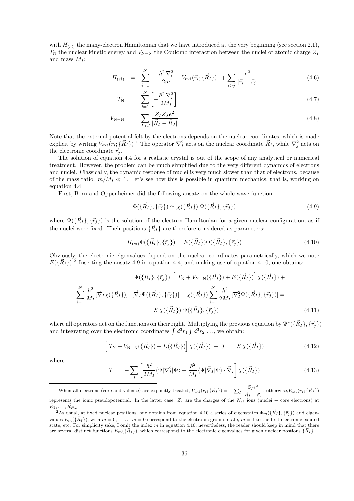with  $H_{(el)}$  the many-electron Hamiltonian that we have introduced at the very beginning (see section 2.1),  $T_N$  the nuclear kinetic energy and  $V_{N-N}$  the Coulomb interaction between the nuclei of atomic charge  $Z_I$ and mass  $M_I$ :

$$
H_{(el)} = \sum_{i=1}^{N} \left[ -\frac{\hbar^2 \nabla_i^2}{2m} + V_{\text{ext}}(\vec{r}_i; \{\vec{R}_I\}) \right] + \sum_{i>j} \frac{e^2}{|\vec{r}_i - \vec{r}_j|}
$$
(4.6)

$$
T_{\rm N} = \sum_{i=1}^{N} \left[ -\frac{\hbar^2 \nabla_I^2}{2M_I} \right] \tag{4.7}
$$

$$
V_{N-N} = \sum_{I>J} \frac{Z_I Z_J e^2}{|\vec{R}_I - \vec{R}_J|} \tag{4.8}
$$

Note that the external potential felt by the electrons depends on the nuclear coordinates, which is made explicit by writing  $V_{\text{ext}}(\vec{r}_i;\{\vec{R}_I\})$ <sup>1</sup> The operator  $\nabla_I^2$  acts on the nuclear coordinate  $\vec{R}_I$ , while  $\nabla_j^2$  acts on the electronic coordinate  $\vec{r}_i$ .

The solution of equation 4.4 for a realistic crystal is out of the scope of any analytical or numerical treatment. However, the problem can be much simplified due to the very different dynamics of electrons and nuclei. Classically, the dynamic response of nuclei is very much slower than that of electrons, because of the mass ratio:  $m/M<sub>I</sub> \ll 1$ . Let's see how this is possible in quantum mechanics, that is, working on equation 4.4.

First, Born and Oppenheimer did the following ansatz on the whole wave function:

$$
\Phi(\{\vec{R}_I\}, \{\vec{r}_j\}) \simeq \chi(\{\vec{R}_I\}) \Psi(\{\vec{R}_I\}, \{\vec{r}_j\})
$$
\n(4.9)

where  $\Psi(\{\vec{R}_I\}, {\{\vec{r}_j\}})$  is the solution of the electron Hamiltonian for a given nuclear configuration, as if the nuclei were fixed. Their positions  $\{\vec{R}_I\}$  are therefore considered as parameters:

$$
H_{(el)}\Phi(\{\vec{R}_I\},\{\vec{r}_j\}) = E(\{\vec{R}_I\})\Phi(\{\vec{R}_I\},\{\vec{r}_j\})
$$
(4.10)

Obviously, the electronic eigenvalues depend on the nuclear coordinates parametrically, which we note  $E({\vec{R}_I})$ .<sup>2</sup> Inserting the ansatz 4.9 in equation 4.4, and making use of equation 4.10, one obtains:

$$
\Psi(\{\vec{R}_I\}, \{\vec{r}_j\}) \left[ T_N + V_{N-N}(\{\vec{R}_I\}) + E(\{\vec{R}_I\}) \right] \chi(\{\vec{R}_I\}) + \n- \sum_{i=1}^N \frac{\hbar^2}{M_I} [\vec{\nabla}_I \chi(\{\vec{R}_I\})] \cdot [\vec{\nabla}_I \Psi(\{\vec{R}_I\}, \{\vec{r}_j\})] - \chi(\{\vec{R}_I\}) \sum_{i=1}^N \frac{\hbar^2}{2M_I} [\nabla_I^2 \Psi(\{\vec{R}_I\}, \{\vec{r}_j\})] = \n= \mathcal{E} \chi(\{\vec{R}_I\}) \Psi(\{\vec{R}_I\}, \{\vec{r}_j\})
$$
\n(4.11)

where all operators act on the functions on their right. Multiplying the previous equation by  $\Psi^*(\{\vec{R}_I\}, \{\vec{r}_j\})$ and integrating over the electronic coordinates  $\int d^3r_1 \int d^3r_2 \dots$ , we obtain:

$$
\left[ T_{\rm N} + V_{\rm N-N}(\{\vec{R}_I\}) + E(\{\vec{R}_I\}) \right] \chi(\{\vec{R}_I\}) + \mathcal{T} = \mathcal{E} \chi(\{\vec{R}_I\}) \tag{4.12}
$$

where

$$
\mathcal{T} = -\sum_{I} \left[ \frac{\hbar^2}{2M_I} \langle \Psi | \nabla^2_I | \Psi \rangle + \frac{\hbar^2}{M_I} \langle \Psi | \vec{\nabla}_I | \Psi \rangle \cdot \vec{\nabla}_I \right] \chi(\{\vec{R}_I\}) \tag{4.13}
$$

<sup>1</sup>When all electrons (core and valence) are explicitly treated,  $V_{ext}(\vec{r}_i; {\{\vec{R}_I\}}) = -\sum_I \frac{Z_I e^2}{\sqrt{2\pi}}$  $\frac{Z_I e}{|\vec{R}_I - \vec{r}_i|}$ ; otherwise,  $V_{ext}(\vec{r}_i; {\{\vec{R}_I\}})$ represents the ionic pseudopotential. In the latter case,  $Z_I$  are the charges of the  $N_{\text{at}}$  ions (nuclei + core electrons) at  $\vec{R}_{1}, \ldots, \vec{R}_{N_{\rm at}}.$ 

<sup>&</sup>lt;sup>2</sup>As usual, at fixed nuclear positions, one obtains from equation 4.10 a series of eigenstates  $\Phi_m(\{\vec{R}_I\},\{\vec{r}_j\})$  and eigenvalues  $E_m(\{\vec{R}_I\})$ , with  $m = 0, 1, \ldots, m = 0$  correspond to the electronic ground state,  $m = 1$  to the first electronic excited state, etc. For simplicity sake, I omit the index  $m$  in equation 4.10; nevertheless, the reader should keep in mind that there are several distinct functions  $E_m(\{\vec{R}_I\})$ , which correspond to the electronic eigenvalues for given nuclear postions  $\{\vec{R}_I\}$ .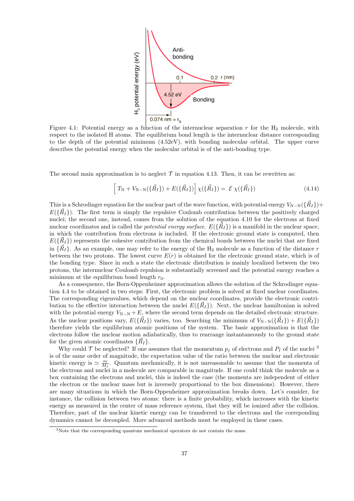

Figure 4.1: Potential energy as a function of the internuclear separation  $r$  for the  $H_2$  molecule, with respect to the isolated H atoms. The equilibrium bond length is the internuclear distance corresponding to the depth of the potential minimum (4.52eV), with bonding molecular orbital. The upper curve describes the potential energy when the molecular orbital is of the anti-bonding type.

The second main approximation is to neglect  $\mathcal T$  in equation 4.13. Then, it can be rewritten as:

$$
\[T_{\rm N} + V_{\rm N-N}(\{\vec{R}_I\}) + E(\{\vec{R}_I\})\] \chi(\{\vec{R}_I\}) = \mathcal{E} \chi(\{\vec{R}_I\}) \tag{4.14}
$$

This is a Schrodinger equation for the nuclear part of the wave function, with potential energy  $V_{N-N}(\{\vec{R}_I\})+$  $E(\{\vec{R}_I\})$ . The first term is simply the repulsive Coulomb contribution between the positively charged nuclei; the second one, instead, comes from the solution of the equation 4.10 for the electrons at fixed nuclear coordinates and is called the *potential energy surface.*  $E(\{\vec{R}_I\})$  is a manifold in the nuclear space, in which the contribution from electrons is included. If the electronic ground state is computed, then  $E(\{\vec{R}_I\})$  represents the cohesive contribution from the chemical bonds between the nuclei that are fixed in  $\{\vec{R}_I\}$ . As an example, one may refer to the energy of the H<sub>2</sub> molecule as a function of the distance r between the two protons. The lowest curve  $E(r)$  is obtained for the electronic ground state, which is of the bonding type. Since in such a state the electronic distribution is mainly localized between the two protons, the internuclear Coulomb repulsion is substantially screened and the potential energy reaches a minimum at the equilibrium bond length  $r_0$ .

As a consequence, the Born-Oppenheimer approximation allows the solution of the Schrodinger equation 4.4 to be obtained in two steps: First, the electronic problem is solved at fixed nuclear coordinates. The corresponding eigenvalues, which depend on the nuclear coordinates, provide the electronic contribution to the effective interaction between the nuclei  $E(\{\vec{R}_I\})$ . Next, the nuclear hamiltonian is solved with the potential energy  $V_{N-N} + E$ , where the second term depends on the detailed electronic structure. As the nuclear positions vary,  $E(\{\vec{R}_I\})$  varies, too. Searching the minimum of  $V_{N-N}(\{\vec{R}_I\}) + E(\{\vec{R}_I\})$ therefore yields the equilibrium atomic positions of the system. The basic approximation is that the electrons follow the nuclear motion adiabatically, thus to rearrange instantaneously to the ground state for the given atomic coordinates  $\{\vec{R}_I\}.$ 

Why could  $\mathcal T$  be neglected? If one assumes that the momentum  $p_i$  of electrons and  $P_I$  of the nuclei <sup>3</sup> is of the same order of magnitude, the expectation value of the ratio between the nuclear and electronic kinetic energy is  $\simeq \frac{m}{M_1}$ . Quantum mechanically, it is not unreasonable to assume that the momenta of the electrons and nuclei in a molecule are comparable in magnitude. If one could think the molecule as a box containing the electrons and nuclei, this is indeed the case (the momenta are independent of either the electron or the nuclear mass but is inversely proportional to the box dimensions). However, there are many situations in which the Born-Oppenheimer approximation breaks down. Let's consider, for instance, the collision between two atoms: there is a finite probability, which increases with the kinetic energy as measured in the center of mass reference system, that they will be ionized after the collision. Therefore, part of the nuclear kinetic energy can be transferred to the electrons and the correponding dynamics cannot be decoupled. More advanced methods must be employed in these cases.

<sup>&</sup>lt;sup>3</sup>Note that the corresponding quantum mechanical operators do not contain the mass.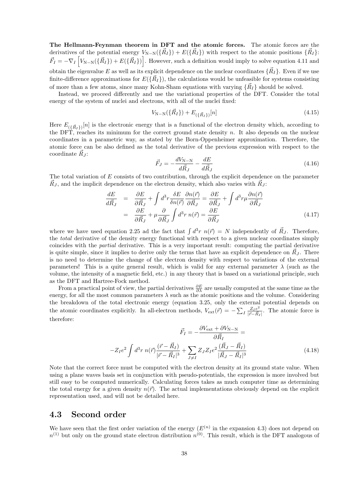The Hellmann-Feynman theorem in DFT and the atomic forces. The atomic forces are the derivatives of the potential energy  $V_{N-N}(\{\vec{R}_I\}) + E(\{\vec{R}_I\})$  with respect to the atomic positions  $\{\vec{R}_I\}$ :  $\vec{F}_I = -\nabla_I \left[ V_{N-N}(\{\vec{R}_I\}) + E(\{\vec{R}_I\}) \right]$ . However, such a definition would imply to solve equation 4.11 and obtain the eigenvalue E as well as its explicit dependence on the nuclear coordinates  $\{\vec{R}_I\}$ . Even if we use finite-difference approximations for  $E(\{\vec{R}_I\})$ , the calculations would be unfeasible for systems consisting of more than a few atoms, since many Kohn-Sham equations with varying  $\{\vec{R}_I\}$  should be solved.

Instead, we proceed differently and use the variational properties of the DFT. Consider the total energy of the system of nuclei and electrons, with all of the nuclei fixed:

$$
V_{\rm N-N}(\{\vec{R}_I\}) + E_{(\{\vec{R}_I\})}[n] \tag{4.15}
$$

Here  $E_{(\{\vec{R}_I\})}[n]$  is the electronic energy that is a functional of the electron density which, according to the DFT, reaches its minimum for the correct ground state density n. It also depends on the nuclear coordinates in a parametric way, as stated by the Born-Oppenheimer approximation. Therefore, the atomic force can be also defined as the total derivative of the previous expression with respect to the coordinate  $\vec{R}_J$ :

$$
\vec{F}_J = -\frac{dV_{\rm N-N}}{d\vec{R}_J} - \frac{dE}{d\vec{R}_J} \tag{4.16}
$$

The total variation of  $E$  consists of two contribution, through the explicit dependence on the parameter  $\vec{R}_J$ , and the implicit dependence on the electron density, which also varies with  $\vec{R}_J$ :

$$
\frac{dE}{d\vec{R}_J} = \frac{\partial E}{\partial \vec{R}_J} + \int d^3r \frac{\delta E}{\delta n(\vec{r})} \frac{\partial n(\vec{r})}{\partial \vec{R}_J} = \frac{\partial E}{\partial \vec{R}_J} + \int d^3r \mu \frac{\partial n(\vec{r})}{\partial \vec{R}_J}
$$
\n
$$
= \frac{\partial E}{\partial \vec{R}_J} + \mu \frac{\partial}{\partial \vec{R}_J} \int d^3r \, n(\vec{r}) = \frac{\partial E}{\partial \vec{R}_J} \tag{4.17}
$$

where we have used equation 2.25 ad the fact that  $\int d^3r \; n(\vec{r}) = N$  independently of  $\vec{R}_J$ . Therefore, the total derivative of the density energy functional with respect to a given nuclear coordinates simply coincides with the partial derivative. This is a very important result: computing the partial derivative is quite simple, since it implies to derive only the terms that have an explicit dependence on  $\vec{R}_J$ . There is no need to determine the change of the electron density with respect to variations of the external parameters! This is a quite general result, which is valid for any external parameter  $\lambda$  (such as the volume, the intensity of a magnetic field, etc.) in any theory that is based on a variational principle, such as the DFT and Hartree-Fock method.

From a practical point of view, the partial derivatives  $\frac{\partial E}{\partial \lambda}$  are usually computed at the same time as the energy, for all the most common parameters  $\lambda$  such as the atomic positions and the volume. Considering the breakdown of the total electronic energy (equation 3.25, only the external potential depends on the atomic coordinates explicitly. In all-electron methods,  $V_{ext}(\vec{r}) = -\sum_I \frac{Z_I e^2}{|\vec{r} - \vec{R}|^2}$  $\frac{Z_I e^2}{|\vec{r}-\vec{R}_I|}$ . The atomic force is therefore:

$$
\vec{F}_I = -\frac{\partial V_{\text{ext}} + \partial V_{\text{N}-\text{N}}}{\partial \vec{R}_I} = -Z_I e^2 \int d^3 r \ n(\vec{r}) \frac{(\vec{r} - \vec{R}_I)}{|\vec{r} - \vec{R}_I|^3} + \sum_{J \neq I} Z_J Z_I e^2 \frac{(\vec{R}_J - \vec{R}_I)}{|\vec{R}_J - \vec{R}_I|^3}
$$
(4.18)

Note that the correct force must be computed with the electron density at its ground state value. When using a plane waves basis set in conjunction with pseudo-potentials, the expression is more involved but still easy to be computed numerically. Calculating forces takes as much computer time as determining the total energy for a given density  $n(\vec{r})$ . The actual implementations obviously depend on the explicit representation used, and will not be detailed here.

### 4.3 Second order

We have seen that the first order variation of the energy  $(E^{(n)}$  in the expansion 4.3) does not depend on  $n^{(1)}$  but only on the ground state electron distribution  $n^{(0)}$ . This result, which is the DFT analogous of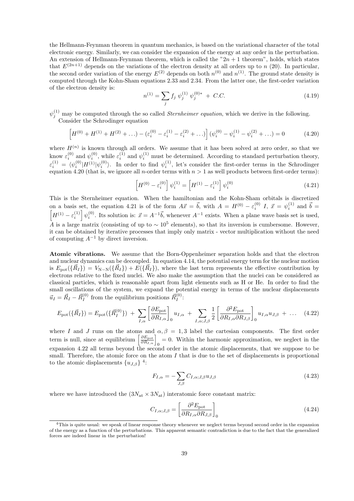the Hellmann-Feynman theorem in quantum mechanics, is based on the variational character of the total electronic energy. Similarly, we can consider the expansion of the energy at any order in the perturbation. An extension of Hellmann-Feynman theorem, which is called the  $"2n + 1$  theorem", holds, which states that  $E^{(2n+1)}$  depends on the variations of the electron density at all orders up to n (20). In particular, the second order variation of the energy  $E^{(2)}$  depends on both  $n^{(0)}$  and  $n^{(1)}$ . The ground state density is computed through the Kohn-Sham equations 2.33 and 2.34. From the latter one, the first-order variation of the electron density is:

$$
n^{(1)} = \sum_{j} f_j \psi_j^{(1)} \psi_j^{(0)*} + C.C.
$$
 (4.19)

 $\psi_j^{(1)}$  may be computed through the so called *Sternheimer equation*, which we derive in the following. Consider the Schrodinger equation

$$
\[H^{(0)} + H^{(1)} + H^{(2)} + \ldots) - (\varepsilon_i^{(0)} - \varepsilon_i^{(1)} - \varepsilon_i^{(2)} + \ldots)\] (\psi_i^{(0)} - \psi_i^{(1)} - \psi_i^{(2)} + \ldots) = 0 \tag{4.20}
$$

where  $H^{(n)}$  is known through all orders. We assume that it has been solved at zero order, so that we know  $\varepsilon_i^{(0)}$  and  $\psi_i^{(0)}$ , while  $\varepsilon_i^{(1)}$  and  $\psi_i^{(1)}$  must be determined. According to standard perturbation theory,  $\varepsilon_i^{(1)} = \langle \psi_i^{(0)} | H^{(1)} | \psi_i^{(0)} \rangle$ . In order to find  $\psi_i^{(1)}$ , let's consider the first-order terms in the Schrodinger equation 4.20 (that is, we ignore all *n*-order terms with  $n > 1$  as well products between first-order terms):

$$
\[H^{(0)} - \varepsilon_i^{(0)}\] \psi_i^{(1)} = \left[H^{(1)} - \varepsilon_i^{(1)}\right] \psi_i^{(0)} \tag{4.21}
$$

This is the Sternheimer equation. When the hamiltonian and the Kohn-Sham orbitals is discretized on a basis set, the equation 4.21 is of the form  $A\vec{x} = \vec{b}$ , with  $A = H^{(0)} - \varepsilon_i^{(0)} I$ ,  $\vec{x} = \psi_i^{(1)}$  and  $\vec{b} =$  $\left[H^{(1)}-\varepsilon_i^{(1)}\right]\psi_i^{(0)}$ . Its solution is:  $\vec{x}=A^{-1}\vec{b}$ , whenever  $A^{-1}$  exists. When a plane wave basis set is used, A is a large matrix (consisting of up to  $\sim 10^5$  elements), so that its inversion is cumbersome. However, it can be obtained by iterative processes that imply only matrix - vector multiplication without the need of computing  $A^{-1}$  by direct inversion.

Atomic vibrations. We assume that the Born-Oppenheimer separation holds and that the electron and nuclear dynamics can be decoupled. In equation 4.14, the potential energy term for the nuclear motion is  $E_{\text{pot}}(\{\vec{R}_I\}) = V_{\text{N-N}}(\{\vec{R}_I\}) + E(\{\vec{R}_I\})$ , where the last term represents the effective contribution by electrons relative to the fixed nuclei. We also make the assumption that the nuclei can be considered as classical particles, which is reasonable apart from light elements such as H or He. In order to find the small oscillations of the system, we expand the potential energy in terms of the nuclear displacements  $\vec{u}_I = \vec{R}_I - \vec{R}^{(0)}_I$  $\bar{R}_I^{(0)}$  from the equilibrium positions  $\vec{R}_I^{(0)}$  $T^{(0)}$ :

$$
E_{\rm pot}(\{\vec{R}_I\}) = E_{\rm pot}(\{\vec{R}_I^{(0)}\}) + \sum_{I,\alpha} \left[\frac{\partial E_{\rm pot}}{\partial R_{I,\alpha}}\right]_0 u_{I,\alpha} + \sum_{I,\alpha;J,\beta} \frac{1}{2} \left[\frac{\partial^2 E_{\rm pot}}{\partial R_{I,\alpha} \partial R_{J,\beta}}\right]_0 u_{I,\alpha} u_{J,\beta} + \dots \quad (4.22)
$$

where I and J runs on the atoms and  $\alpha, \beta = 1, 3$  label the cartesian components. The first order term is null, since at equilibrium  $\left[\frac{\partial E_{pot}}{\partial R_{I,\alpha}}\right]_0 = 0$ . Within the harmonic approximation, we neglect in the expansion 4.22 all terms beyond the second order in the atomic displacements, that we suppose to be small. Therefore, the atomic force on the atom  $I$  that is due to the set of displacements is proportional to the atomic displacements  $\{u_{J,\beta}\}\,$ <sup>4</sup>:

$$
F_{I,\alpha} = -\sum_{J,\beta} C_{I,\alpha;J,\beta} u_{J,\beta} \tag{4.23}
$$

where we have introduced the  $(3N_{\text{at}} \times 3N_{\text{at}})$  interatomic force constant matrix:

$$
C_{I,\alpha;J,\beta} = \left[\frac{\partial^2 E_{\text{pot}}}{\partial R_{I,\alpha} \partial R_{J,\beta}}\right]_0
$$
\n(4.24)

<sup>&</sup>lt;sup>4</sup>This is quite usual: we speak of linear response theory whenever we neglect terms beyond second order in the expansion of the energy as a function of the perturbations. This apparent semantic contradiction is due to the fact that the generalized forces are indeed linear in the perturbation!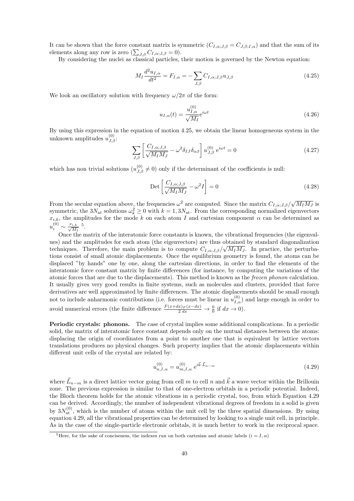It can be shown that the force constant matrix is symmetric  $(C_{I,\alpha;J,\beta} = C_{J,\beta;I,\alpha})$  and that the sum of its elements along any row is zero  $(\sum_{J,\beta} C_{I,\alpha;J,\beta} = 0)$ .

By considering the nuclei as classical particles, their motion is governed by the Newton equation:

$$
M_I \frac{d^2 u_{I,\alpha}}{dt^2} = F_{I,\alpha} = -\sum_{J,\beta} C_{I,\alpha;J,\beta} u_{J,\beta} \tag{4.25}
$$

We look an oscillatory solution with frequency  $\omega/2\pi$  of the form:

$$
u_{I,\alpha}(t) = \frac{u_{I,\alpha}^{(0)}}{\sqrt{M_I}} e^{i\omega t}
$$
\n(4.26)

By using this expression in the equation of motion 4.25, we obtain the linear homogeneous system in the unknown amplitudes  $u_{J,\beta}^{(0)}$ :

$$
\sum_{J,\beta} \left[ \frac{C_{I,\alpha;J,\beta}}{\sqrt{M_I M_J}} - \omega^2 \delta_{IJ} \delta_{\alpha\beta} \right] u_{J,\beta}^{(0)} e^{i\omega t} = 0 \tag{4.27}
$$

which has non trivial solutions  $(u_{J,\beta}^{(0)} \neq 0)$  only if the determinant of the coefficients is null:

$$
\text{Det}\left[\frac{C_{I,\alpha;J,\beta}}{\sqrt{M_I M_J}} - \omega^2 I\right] = 0\tag{4.28}
$$

From the secular equation above, the frequencies  $\omega^2$  are computed. Since the matrix  $C_{I,\alpha;J,\beta}/\sqrt{M_I M_J}$  is symmetric, the  $3N_{\text{at}}$  solutions  $\omega_k^2 \ge 0$  with  $k = 1, 3N_{\text{at}}$ . From the corresponding normalized eigenvectors  $x_{i,k}$ , the amplitudes for the mode k on each atom I and cartesian component  $\alpha$  can be determined as  $u_i^{(0)} \sim \frac{x_{i,k}}{\sqrt{M}}$  $\frac{i,k}{M_I}$  <sup>5</sup>.

Once the matrix of the interatomic force constants is known, the vibrational frequencies (the eigenvalues) and the amplitudes for each atom (the eigenvectors) are thus obtained by standard diagonalization techniques. Therefore, the main problem is to compute  $C_{I,\alpha;J,\beta}/\sqrt{M_I M_J}$ . In practice, the perturbations consist of small atomic displacements. Once the equilibrium geometry is found, the atoms can be displaced "by hands" one by one, along the cartesian directions, in order to find the elements of the interatomic force constant matrix by finite differences (for instance, by computing the variations of the atomic forces that are due to the displacements). This method is known as the frozen phonon calculation. It usually gives very good results in finite systems, such as molecules and clusters, provided that force derivatives are well approximated by finite differences. The atomic displacements should be small enough not to include anharmonic contributions (i.e. forces must be linear in  $u_{I,\alpha}^{(0)}$ ) and large enough in order to avoid numerical errors (the finite difference  $\frac{F(x+dx)F(x-dx)}{2 dx} \to \frac{0}{0}$  if  $dx \to 0$ ).

Periodic crystals: phonons. The case of crystal implies some additional complications. In a periodic solid, the matrix of interatomic force constant depends only on the mutual distances between the atoms: displacing the origin of coordinates from a point to another one that is equivalent by lattice vectors translations produces no physical changes. Such property implies that the atomic displacements within different unit cells of the crystal are related by:

$$
u_{n,I,\alpha}^{(0)} = u_{m,I,\alpha}^{(0)} e^{i\vec{k}\cdot\vec{L}_{n-m}}
$$
\n(4.29)

where  $\vec{L}_{n-m}$  is a direct lattice vector going from cell m to cell n and  $\vec{k}$  a wave vector within the Brillouin zone. The previous expression is similar to that of one-electron orbitals in a periodic potential. Indeed, the Bloch theorem holds for the atomic vibrations in a periodic crystal, too, from which Equation 4.29 can be derived. Accordingly, the number of independent vibrational degrees of freedom in a solid is given by  $3N_{\text{at}}^{(0)}$ , which is the number of atoms within the unit cell by the three spatial dimensions. By using equation 4.29, all the vibrational properties can be determined by looking to a single unit cell, in principle. As in the case of the single-particle electronic orbitals, it is much better to work in the reciprocal space.

<sup>&</sup>lt;sup>5</sup>Here, for the sake of conciseness, the indexes run on both cartesian and atomic labels  $(i = I, \alpha)$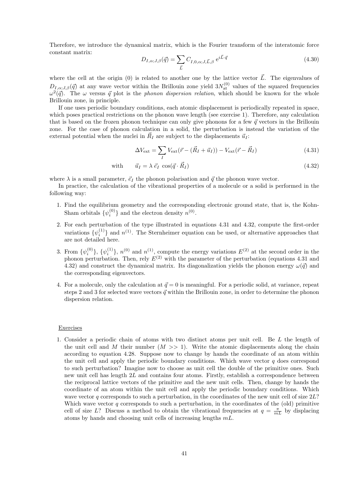Therefore, we introduce the dynamical matrix, which is the Fourier transform of the interatomic force constant matrix:

$$
D_{I,\alpha;J,\beta}(\vec{q}) = \sum_{\vec{L}} C_{I,0,\alpha;J,\vec{L},\beta} e^{i\vec{L}\cdot\vec{q}}
$$
(4.30)

where the cell at the origin (0) is related to another one by the lattice vector  $\vec{L}$ . The eigenvalues of  $D_{I,\alpha;J,\beta}(\vec{q})$  at any wave vector within the Brillouin zone yield  $3N_{\rm at}^{(0)}$  values of the squared frequencies  $\omega^2(\vec{q})$ . The  $\omega$  versus  $\vec{q}$  plot is the phonon dispersion relation, which should be known for the whole Brillouin zone, in principle.

If one uses periodic boundary conditions, each atomic displacement is periodically repeated in space, which poses practical restrictions on the phonon wave length (see exercise 1). Therefore, any calculation that is based on the frozen phonon technique can only give phonons for a few  $\vec{q}$  vectors in the Brillouin zone. For the case of phonon calculation in a solid, the perturbation is instead the variation of the external potential when the nuclei in  $\vec{R}_I$  are subject to the displacements  $\vec{u}_I$ :

$$
\Delta V_{\text{ext}} = \sum_{I} V_{\text{ext}} (\vec{r} - (\vec{R}_I + \vec{u}_I)) - V_{\text{ext}} (\vec{r} - \vec{R}_I)
$$
(4.31)

with 
$$
\vec{u}_I = \lambda \vec{e}_I \cos(\vec{q} \cdot \vec{R}_I)
$$
 (4.32)

where  $\lambda$  is a small parameter,  $\vec{e}_I$  the phonon polarisation and  $\vec{q}$  the phonon wave vector.

In practice, the calculation of the vibrational properties of a molecule or a solid is performed in the following way:

- 1. Find the equilibrium geometry and the corresponding electronic ground state, that is, the Kohn-Sham orbitals  $\{\psi_i^{(0)}\}$  and the electron density  $n^{(0)}$ .
- 2. For each perturbation of the type illustrated in equations 4.31 and 4.32, compute the first-order variations  $\{\psi_i^{(1)}\}$  and  $n^{(1)}$ . The Sternheimer equation can be used, or alternative approaches that are not detailed here.
- 3. From  $\{\psi_i^{(0)}\}, \{\psi_i^{(1)}\}, n^{(0)}$  and  $n^{(1)}$ , compute the energy variations  $E^{(2)}$  at the second order in the phonon perturbation. Then, rely  $E^{(2)}$  with the parameter of the perturbation (equations 4.31 and 4.32) and construct the dynamical matrix. Its diagonalization yields the phonon energy  $\omega(\vec{q})$  and the corresponding eigenvectors.
- 4. For a molecule, only the calculation at  $\vec{q} = 0$  is meaningful. For a periodic solid, at variance, repeat steps 2 and 3 for selected wave vectors  $\vec{q}$  within the Brillouin zone, in order to determine the phonon dispersion relation.

#### Exercises

1. Consider a periodic chain of atoms with two distinct atoms per unit cell. Be L the length of the unit cell and M their number  $(M \gg 1)$ . Write the atomic displacements along the chain according to equation 4.28. Suppose now to change by hands the coordinate of an atom within the unit cell and apply the periodic boundary conditions. Which wave vector  $q$  does correspond to such perturbation? Imagine now to choose as unit cell the double of the primitive ones. Such new unit cell has length 2L and contains four atoms. Firstly, establish a correspondence between the reciprocal lattice vectors of the primitive and the new unit cells. Then, change by hands the coordinate of an atom within the unit cell and apply the periodic boundary conditions. Which wave vector q corresponds to such a perturbation, in the coordinates of the new unit cell of size  $2L$ ? Which wave vector q corresponds to such a perturbation, in the coordinates of the (old) primitive cell of size L? Discuss a method to obtain the vibrational frequencies at  $q = \frac{\pi}{mL}$  by displacing atoms by hands and choosing unit cells of increasing lengths mL.